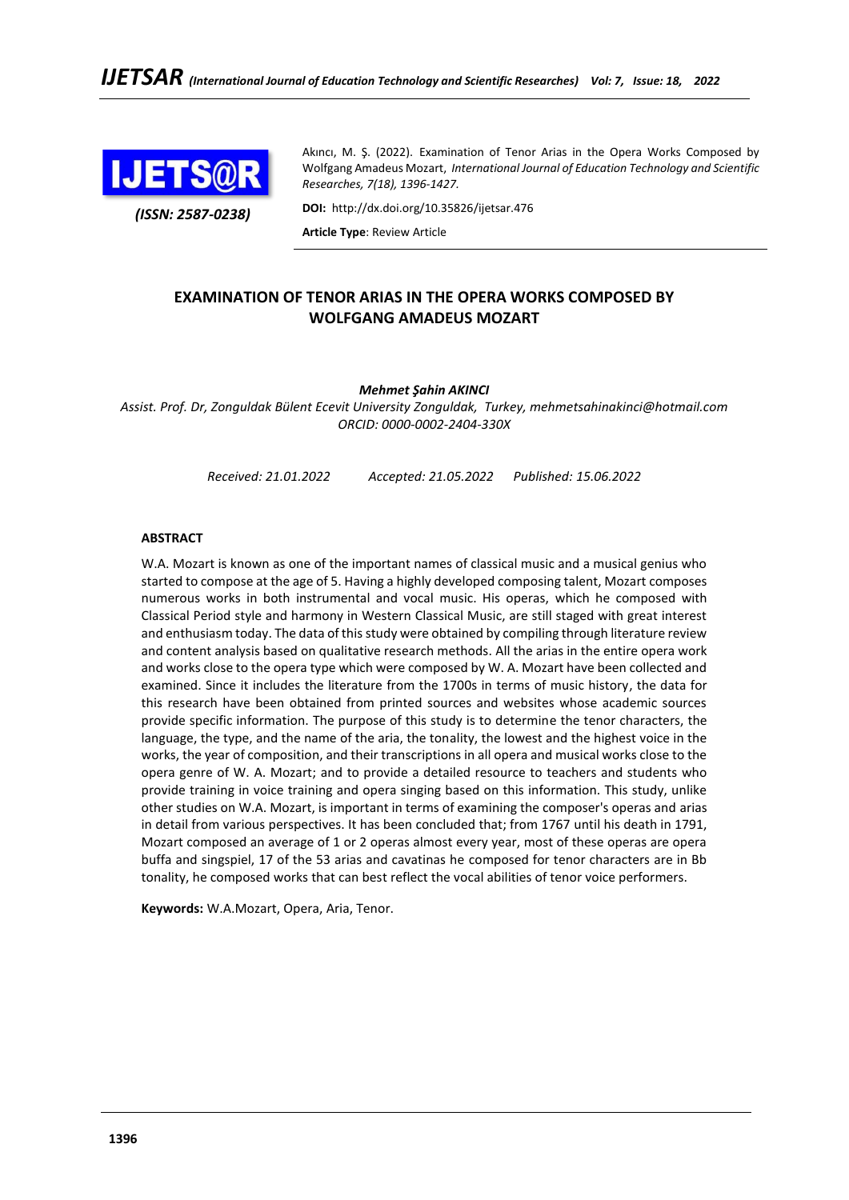

*(ISSN: 2587-0238)*

Akıncı, M. Ş. (2022). Examination of Tenor Arias in the Opera Works Composed by Wolfgang Amadeus Mozart, *International Journal of Education Technology and Scientific Researches, 7(18), 1396-1427.*

**DOI:** http://dx.doi.org/10.35826/ijetsar.476

**Article Type**: Review Article

# **EXAMINATION OF TENOR ARIAS IN THE OPERA WORKS COMPOSED BY WOLFGANG AMADEUS MOZART**

# *Mehmet Şahin AKINCI*

*Assist. Prof. Dr, Zonguldak Bülent Ecevit University Zonguldak, Turkey, mehmetsahinakinci@hotmail.com ORCID: 0000-0002-2404-330X*

*Received: 21.01.2022 Accepted: 21.05.2022 Published: 15.06.2022*

## **ABSTRACT**

W.A. Mozart is known as one of the important names of classical music and a musical genius who started to compose at the age of 5. Having a highly developed composing talent, Mozart composes numerous works in both instrumental and vocal music. His operas, which he composed with Classical Period style and harmony in Western Classical Music, are still staged with great interest and enthusiasm today. The data of this study were obtained by compiling through literature review and content analysis based on qualitative research methods. All the arias in the entire opera work and works close to the opera type which were composed by W. A. Mozart have been collected and examined. Since it includes the literature from the 1700s in terms of music history, the data for this research have been obtained from printed sources and websites whose academic sources provide specific information. The purpose of this study is to determine the tenor characters, the language, the type, and the name of the aria, the tonality, the lowest and the highest voice in the works, the year of composition, and their transcriptions in all opera and musical works close to the opera genre of W. A. Mozart; and to provide a detailed resource to teachers and students who provide training in voice training and opera singing based on this information. This study, unlike other studies on W.A. Mozart, is important in terms of examining the composer's operas and arias in detail from various perspectives. It has been concluded that; from 1767 until his death in 1791, Mozart composed an average of 1 or 2 operas almost every year, most of these operas are opera buffa and singspiel, 17 of the 53 arias and cavatinas he composed for tenor characters are in Bb tonality, he composed works that can best reflect the vocal abilities of tenor voice performers.

**Keywords:** W.A.Mozart, Opera, Aria, Tenor.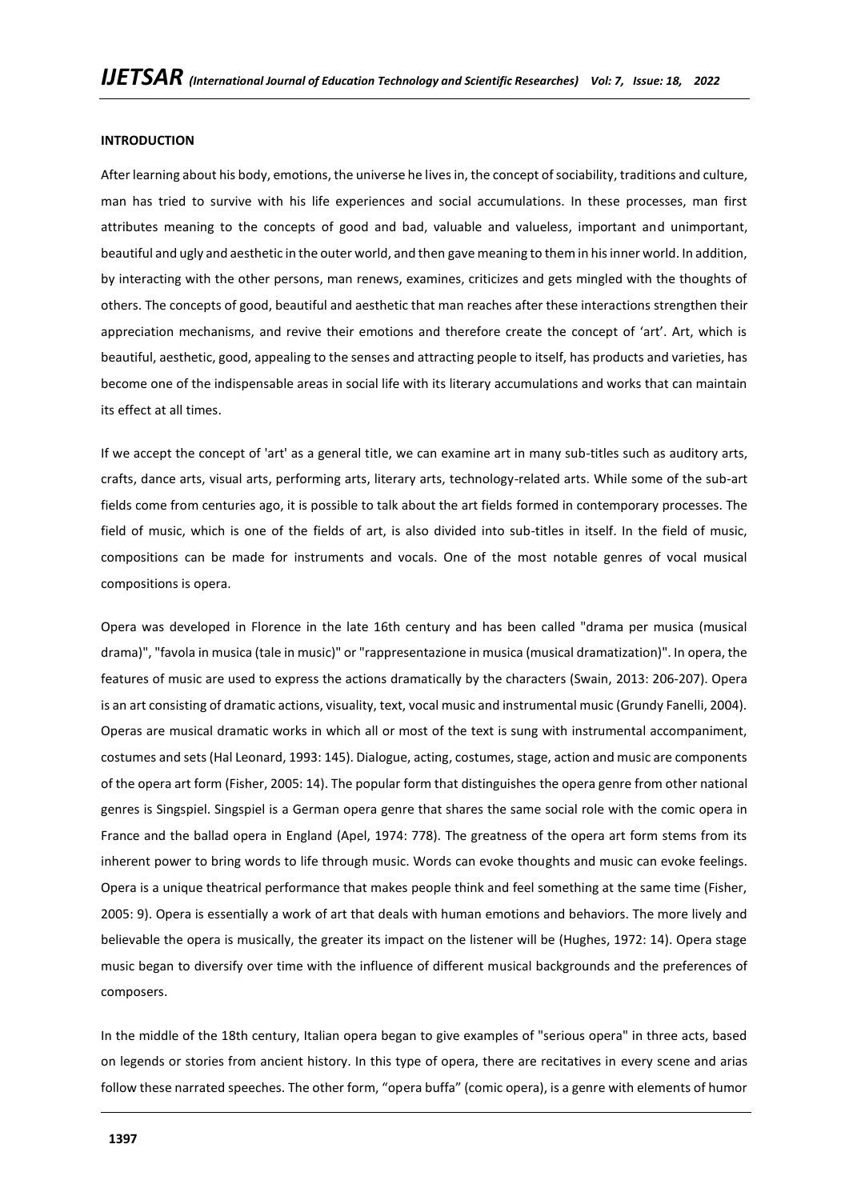### **INTRODUCTION**

After learning about his body, emotions, the universe he lives in, the concept of sociability, traditions and culture, man has tried to survive with his life experiences and social accumulations. In these processes, man first attributes meaning to the concepts of good and bad, valuable and valueless, important and unimportant, beautiful and ugly and aesthetic in the outer world, and then gave meaning to them in his inner world. In addition, by interacting with the other persons, man renews, examines, criticizes and gets mingled with the thoughts of others. The concepts of good, beautiful and aesthetic that man reaches after these interactions strengthen their appreciation mechanisms, and revive their emotions and therefore create the concept of 'art'. Art, which is beautiful, aesthetic, good, appealing to the senses and attracting people to itself, has products and varieties, has become one of the indispensable areas in social life with its literary accumulations and works that can maintain its effect at all times.

If we accept the concept of 'art' as a general title, we can examine art in many sub-titles such as auditory arts, crafts, dance arts, visual arts, performing arts, literary arts, technology-related arts. While some of the sub-art fields come from centuries ago, it is possible to talk about the art fields formed in contemporary processes. The field of music, which is one of the fields of art, is also divided into sub-titles in itself. In the field of music, compositions can be made for instruments and vocals. One of the most notable genres of vocal musical compositions is opera.

Opera was developed in Florence in the late 16th century and has been called "drama per musica (musical drama)", "favola in musica (tale in music)" or "rappresentazione in musica (musical dramatization)". In opera, the features of music are used to express the actions dramatically by the characters (Swain, 2013: 206-207). Opera is an art consisting of dramatic actions, visuality, text, vocal music and instrumental music (Grundy Fanelli, 2004). Operas are musical dramatic works in which all or most of the text is sung with instrumental accompaniment, costumes and sets (Hal Leonard, 1993: 145). Dialogue, acting, costumes, stage, action and music are components of the opera art form (Fisher, 2005: 14). The popular form that distinguishes the opera genre from other national genres is Singspiel. Singspiel is a German opera genre that shares the same social role with the comic opera in France and the ballad opera in England (Apel, 1974: 778). The greatness of the opera art form stems from its inherent power to bring words to life through music. Words can evoke thoughts and music can evoke feelings. Opera is a unique theatrical performance that makes people think and feel something at the same time (Fisher, 2005: 9). Opera is essentially a work of art that deals with human emotions and behaviors. The more lively and believable the opera is musically, the greater its impact on the listener will be (Hughes, 1972: 14). Opera stage music began to diversify over time with the influence of different musical backgrounds and the preferences of composers.

In the middle of the 18th century, Italian opera began to give examples of "serious opera" in three acts, based on legends or stories from ancient history. In this type of opera, there are recitatives in every scene and arias follow these narrated speeches. The other form, "opera buffa" (comic opera), is a genre with elements of humor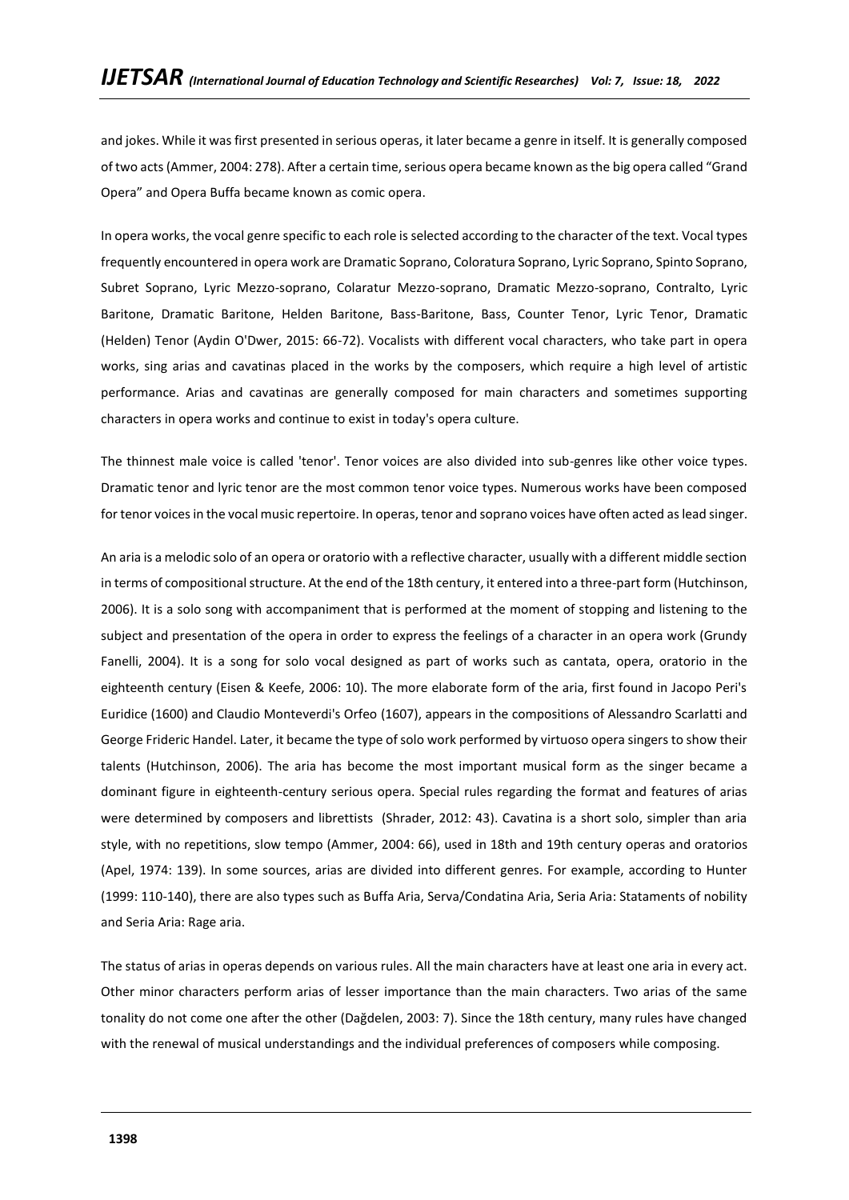and jokes. While it was first presented in serious operas, it later became a genre in itself. It is generally composed of two acts (Ammer, 2004: 278). After a certain time, serious opera became known as the big opera called "Grand Opera" and Opera Buffa became known as comic opera.

In opera works, the vocal genre specific to each role is selected according to the character of the text. Vocal types frequently encountered in opera work are Dramatic Soprano, Coloratura Soprano, Lyric Soprano, Spinto Soprano, Subret Soprano, Lyric Mezzo-soprano, Colaratur Mezzo-soprano, Dramatic Mezzo-soprano, Contralto, Lyric Baritone, Dramatic Baritone, Helden Baritone, Bass-Baritone, Bass, Counter Tenor, Lyric Tenor, Dramatic (Helden) Tenor (Aydin O'Dwer, 2015: 66-72). Vocalists with different vocal characters, who take part in opera works, sing arias and cavatinas placed in the works by the composers, which require a high level of artistic performance. Arias and cavatinas are generally composed for main characters and sometimes supporting characters in opera works and continue to exist in today's opera culture.

The thinnest male voice is called 'tenor'. Tenor voices are also divided into sub-genres like other voice types. Dramatic tenor and lyric tenor are the most common tenor voice types. Numerous works have been composed for tenor voices in the vocal music repertoire. In operas, tenor and soprano voices have often acted as lead singer.

An aria is a melodic solo of an opera or oratorio with a reflective character, usually with a different middle section in terms of compositional structure. At the end of the 18th century, it entered into a three-part form (Hutchinson, 2006). It is a solo song with accompaniment that is performed at the moment of stopping and listening to the subject and presentation of the opera in order to express the feelings of a character in an opera work (Grundy Fanelli, 2004). It is a song for solo vocal designed as part of works such as cantata, opera, oratorio in the eighteenth century (Eisen & Keefe, 2006: 10). The more elaborate form of the aria, first found in Jacopo Peri's Euridice (1600) and Claudio Monteverdi's Orfeo (1607), appears in the compositions of Alessandro Scarlatti and George Frideric Handel. Later, it became the type of solo work performed by virtuoso opera singers to show their talents (Hutchinson, 2006). The aria has become the most important musical form as the singer became a dominant figure in eighteenth-century serious opera. Special rules regarding the format and features of arias were determined by composers and librettists (Shrader, 2012: 43). Cavatina is a short solo, simpler than aria style, with no repetitions, slow tempo (Ammer, 2004: 66), used in 18th and 19th century operas and oratorios (Apel, 1974: 139). In some sources, arias are divided into different genres. For example, according to Hunter (1999: 110-140), there are also types such as Buffa Aria, Serva/Condatina Aria, Seria Aria: Stataments of nobility and Seria Aria: Rage aria.

The status of arias in operas depends on various rules. All the main characters have at least one aria in every act. Other minor characters perform arias of lesser importance than the main characters. Two arias of the same tonality do not come one after the other (Dağdelen, 2003: 7). Since the 18th century, many rules have changed with the renewal of musical understandings and the individual preferences of composers while composing.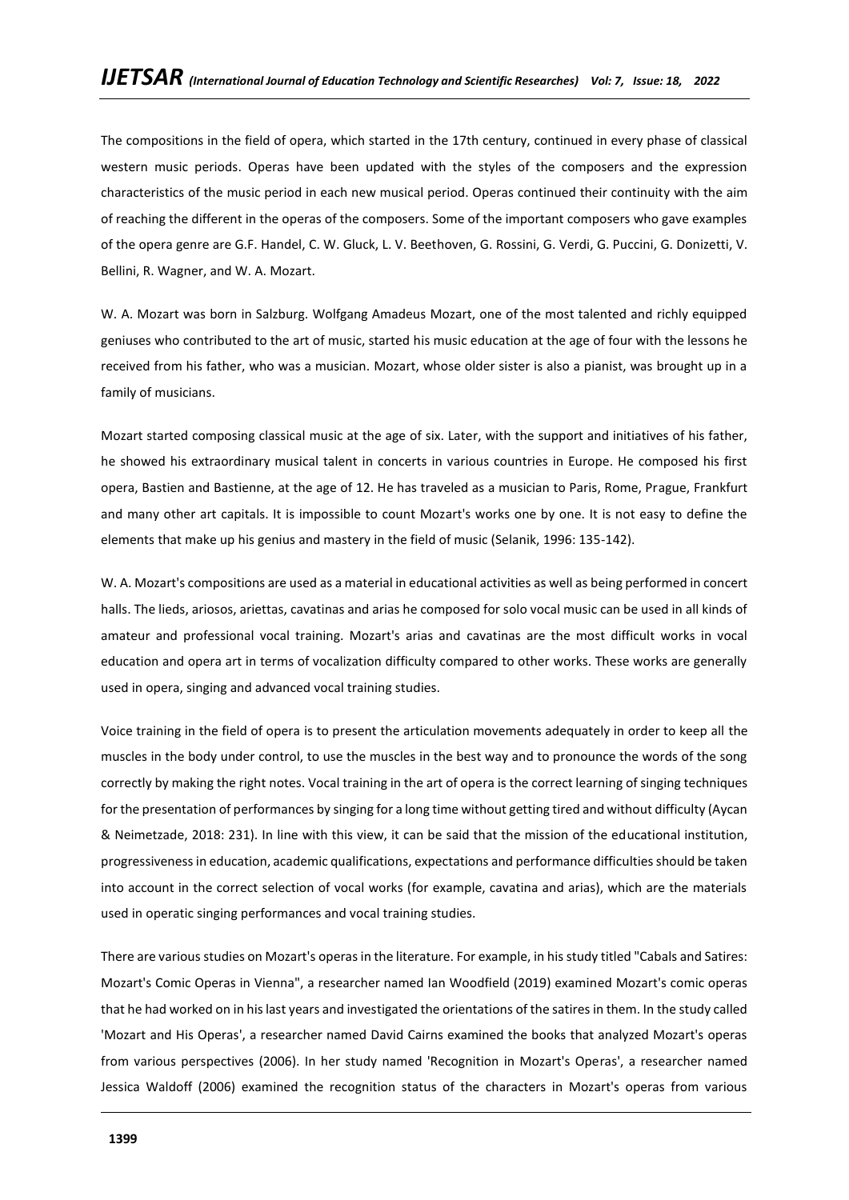The compositions in the field of opera, which started in the 17th century, continued in every phase of classical western music periods. Operas have been updated with the styles of the composers and the expression characteristics of the music period in each new musical period. Operas continued their continuity with the aim of reaching the different in the operas of the composers. Some of the important composers who gave examples of the opera genre are G.F. Handel, C. W. Gluck, L. V. Beethoven, G. Rossini, G. Verdi, G. Puccini, G. Donizetti, V. Bellini, R. Wagner, and W. A. Mozart.

W. A. Mozart was born in Salzburg. Wolfgang Amadeus Mozart, one of the most talented and richly equipped geniuses who contributed to the art of music, started his music education at the age of four with the lessons he received from his father, who was a musician. Mozart, whose older sister is also a pianist, was brought up in a family of musicians.

Mozart started composing classical music at the age of six. Later, with the support and initiatives of his father, he showed his extraordinary musical talent in concerts in various countries in Europe. He composed his first opera, Bastien and Bastienne, at the age of 12. He has traveled as a musician to Paris, Rome, Prague, Frankfurt and many other art capitals. It is impossible to count Mozart's works one by one. It is not easy to define the elements that make up his genius and mastery in the field of music (Selanik, 1996: 135-142).

W. A. Mozart's compositions are used as a material in educational activities as well as being performed in concert halls. The lieds, ariosos, ariettas, cavatinas and arias he composed for solo vocal music can be used in all kinds of amateur and professional vocal training. Mozart's arias and cavatinas are the most difficult works in vocal education and opera art in terms of vocalization difficulty compared to other works. These works are generally used in opera, singing and advanced vocal training studies.

Voice training in the field of opera is to present the articulation movements adequately in order to keep all the muscles in the body under control, to use the muscles in the best way and to pronounce the words of the song correctly by making the right notes. Vocal training in the art of opera is the correct learning of singing techniques for the presentation of performances by singing for a long time without getting tired and without difficulty (Aycan & Neimetzade, 2018: 231). In line with this view, it can be said that the mission of the educational institution, progressiveness in education, academic qualifications, expectations and performance difficulties should be taken into account in the correct selection of vocal works (for example, cavatina and arias), which are the materials used in operatic singing performances and vocal training studies.

There are various studies on Mozart's operas in the literature. For example, in his study titled "Cabals and Satires: Mozart's Comic Operas in Vienna", a researcher named Ian Woodfield (2019) examined Mozart's comic operas that he had worked on in his last years and investigated the orientations of the satires in them. In the study called 'Mozart and His Operas', a researcher named David Cairns examined the books that analyzed Mozart's operas from various perspectives (2006). In her study named 'Recognition in Mozart's Operas', a researcher named Jessica Waldoff (2006) examined the recognition status of the characters in Mozart's operas from various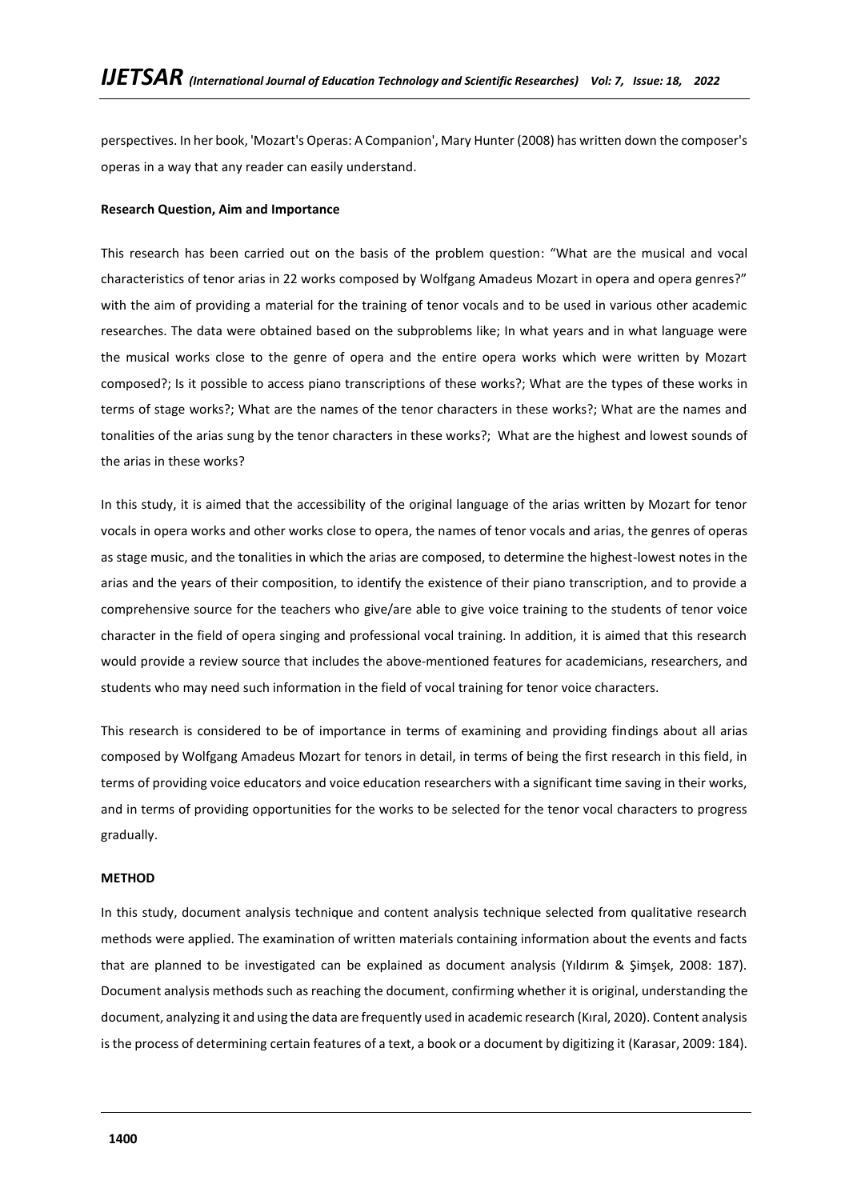perspectives. In her book, 'Mozart's Operas: A Companion', Mary Hunter (2008) has written down the composer's operas in a way that any reader can easily understand.

## **Research Question, Aim and Importance**

This research has been carried out on the basis of the problem question: "What are the musical and vocal characteristics of tenor arias in 22 works composed by Wolfgang Amadeus Mozart in opera and opera genres?" with the aim of providing a material for the training of tenor vocals and to be used in various other academic researches. The data were obtained based on the subproblems like; In what years and in what language were the musical works close to the genre of opera and the entire opera works which were written by Mozart composed?; Is it possible to access piano transcriptions of these works?; What are the types of these works in terms of stage works?; What are the names of the tenor characters in these works?; What are the names and tonalities of the arias sung by the tenor characters in these works?; What are the highest and lowest sounds of the arias in these works?

In this study, it is aimed that the accessibility of the original language of the arias written by Mozart for tenor vocals in opera works and other works close to opera, the names of tenor vocals and arias, the genres of operas as stage music, and the tonalities in which the arias are composed, to determine the highest-lowest notes in the arias and the years of their composition, to identify the existence of their piano transcription, and to provide a comprehensive source for the teachers who give/are able to give voice training to the students of tenor voice character in the field of opera singing and professional vocal training. In addition, it is aimed that this research would provide a review source that includes the above-mentioned features for academicians, researchers, and students who may need such information in the field of vocal training for tenor voice characters.

This research is considered to be of importance in terms of examining and providing findings about all arias composed by Wolfgang Amadeus Mozart for tenors in detail, in terms of being the first research in this field, in terms of providing voice educators and voice education researchers with a significant time saving in their works, and in terms of providing opportunities for the works to be selected for the tenor vocal characters to progress gradually.

### **METHOD**

In this study, document analysis technique and content analysis technique selected from qualitative research methods were applied. The examination of written materials containing information about the events and facts that are planned to be investigated can be explained as document analysis (Yıldırım & Şimşek, 2008: 187). Document analysis methods such as reaching the document, confirming whether it is original, understanding the document, analyzing it and using the data are frequently used in academic research (Kıral, 2020). Content analysis is the process of determining certain features of a text, a book or a document by digitizing it (Karasar, 2009: 184).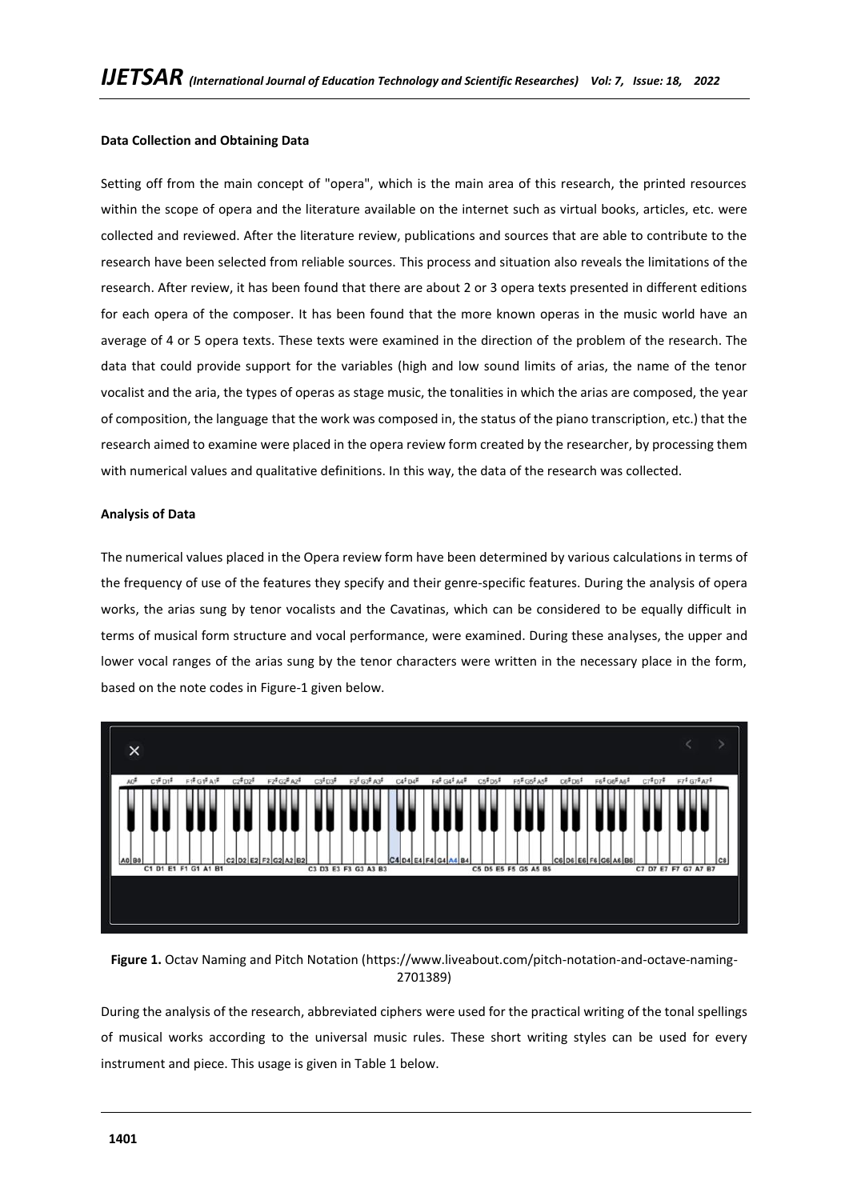# **Data Collection and Obtaining Data**

Setting off from the main concept of "opera", which is the main area of this research, the printed resources within the scope of opera and the literature available on the internet such as virtual books, articles, etc. were collected and reviewed. After the literature review, publications and sources that are able to contribute to the research have been selected from reliable sources. This process and situation also reveals the limitations of the research. After review, it has been found that there are about 2 or 3 opera texts presented in different editions for each opera of the composer. It has been found that the more known operas in the music world have an average of 4 or 5 opera texts. These texts were examined in the direction of the problem of the research. The data that could provide support for the variables (high and low sound limits of arias, the name of the tenor vocalist and the aria, the types of operas as stage music, the tonalities in which the arias are composed, the year of composition, the language that the work was composed in, the status of the piano transcription, etc.) that the research aimed to examine were placed in the opera review form created by the researcher, by processing them with numerical values and qualitative definitions. In this way, the data of the research was collected.

## **Analysis of Data**

The numerical values placed in the Opera review form have been determined by various calculations in terms of the frequency of use of the features they specify and their genre-specific features. During the analysis of opera works, the arias sung by tenor vocalists and the Cavatinas, which can be considered to be equally difficult in terms of musical form structure and vocal performance, were examined. During these analyses, the upper and lower vocal ranges of the arias sung by the tenor characters were written in the necessary place in the form, based on the note codes in Figure-1 given below.



**Figure 1.** Octav Naming and Pitch Notation (https://www.liveabout.com/pitch-notation-and-octave-naming-2701389)

During the analysis of the research, abbreviated ciphers were used for the practical writing of the tonal spellings of musical works according to the universal music rules. These short writing styles can be used for every instrument and piece. This usage is given in Table 1 below.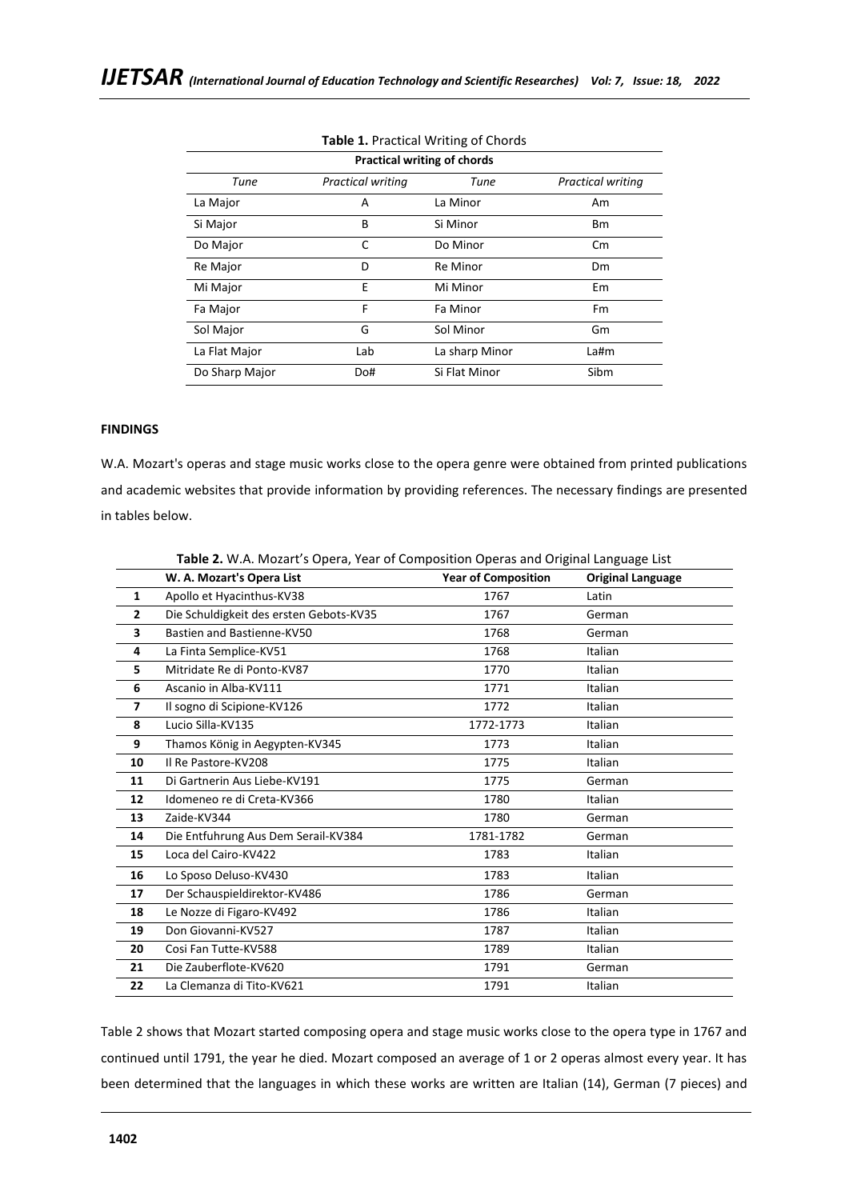| <b>Practical writing of chords</b> |                          |                 |                          |
|------------------------------------|--------------------------|-----------------|--------------------------|
| Tune                               | <b>Practical writing</b> | Tune            | <b>Practical writing</b> |
| La Major                           | A                        | La Minor        | Am                       |
| Si Major                           | B                        | Si Minor        | <b>Bm</b>                |
| Do Major                           | C                        | Do Minor        | $\mathsf{C}$ m           |
| Re Major                           | D                        | <b>Re Minor</b> | <b>Dm</b>                |
| Mi Major                           | Ε                        | Mi Minor        | Em                       |
| Fa Major                           | F                        | Fa Minor        | Fm                       |
| Sol Major                          | G                        | Sol Minor       | Gm                       |
| La Flat Major                      | Lab                      | La sharp Minor  | $L$ a#m                  |
| Do Sharp Major                     | Do#                      | Si Flat Minor   | Sibm                     |

# **Table 1.** Practical Writing of Chords

# **FINDINGS**

W.A. Mozart's operas and stage music works close to the opera genre were obtained from printed publications and academic websites that provide information by providing references. The necessary findings are presented in tables below.

|                | <b>Table 2.</b> W.A. Mozart's Opera, Year of Composition Operas and Original Language List |                            |                          |  |
|----------------|--------------------------------------------------------------------------------------------|----------------------------|--------------------------|--|
|                | W. A. Mozart's Opera List                                                                  | <b>Year of Composition</b> | <b>Original Language</b> |  |
| $\mathbf{1}$   | Apollo et Hyacinthus-KV38                                                                  | 1767                       | Latin                    |  |
| $\overline{2}$ | Die Schuldigkeit des ersten Gebots-KV35                                                    | 1767                       | German                   |  |
| 3              | Bastien and Bastienne-KV50                                                                 | 1768                       | German                   |  |
| 4              | La Finta Semplice-KV51                                                                     | 1768                       | Italian                  |  |
| 5              | Mitridate Re di Ponto-KV87                                                                 | 1770                       | Italian                  |  |
| 6              | Ascanio in Alba-KV111                                                                      | 1771                       | Italian                  |  |
| $\overline{7}$ | Il sogno di Scipione-KV126                                                                 | 1772                       | Italian                  |  |
| 8              | Lucio Silla-KV135                                                                          | 1772-1773                  | Italian                  |  |
| 9              | Thamos König in Aegypten-KV345                                                             | 1773                       | Italian                  |  |
| 10             | Il Re Pastore-KV208                                                                        | 1775                       | Italian                  |  |
| 11             | Di Gartnerin Aus Liebe-KV191                                                               | 1775                       | German                   |  |
| 12             | Idomeneo re di Creta-KV366                                                                 | 1780                       | Italian                  |  |
| 13             | Zaide-KV344                                                                                | 1780                       | German                   |  |
| 14             | Die Entfuhrung Aus Dem Serail-KV384                                                        | 1781-1782                  | German                   |  |
| 15             | Loca del Cairo-KV422                                                                       | 1783                       | Italian                  |  |
| 16             | Lo Sposo Deluso-KV430                                                                      | 1783                       | Italian                  |  |
| 17             | Der Schauspieldirektor-KV486                                                               | 1786                       | German                   |  |
| 18             | Le Nozze di Figaro-KV492                                                                   | 1786                       | Italian                  |  |
| 19             | Don Giovanni-KV527                                                                         | 1787                       | Italian                  |  |
| 20             | Cosi Fan Tutte-KV588                                                                       | 1789                       | Italian                  |  |
| 21             | Die Zauberflote-KV620                                                                      | 1791                       | German                   |  |
| 22             | La Clemanza di Tito-KV621                                                                  | 1791                       | Italian                  |  |

**Table 2.** W.A. Mozart's Opera, Year of Composition Operas and Original Language List

Table 2 shows that Mozart started composing opera and stage music works close to the opera type in 1767 and continued until 1791, the year he died. Mozart composed an average of 1 or 2 operas almost every year. It has been determined that the languages in which these works are written are Italian (14), German (7 pieces) and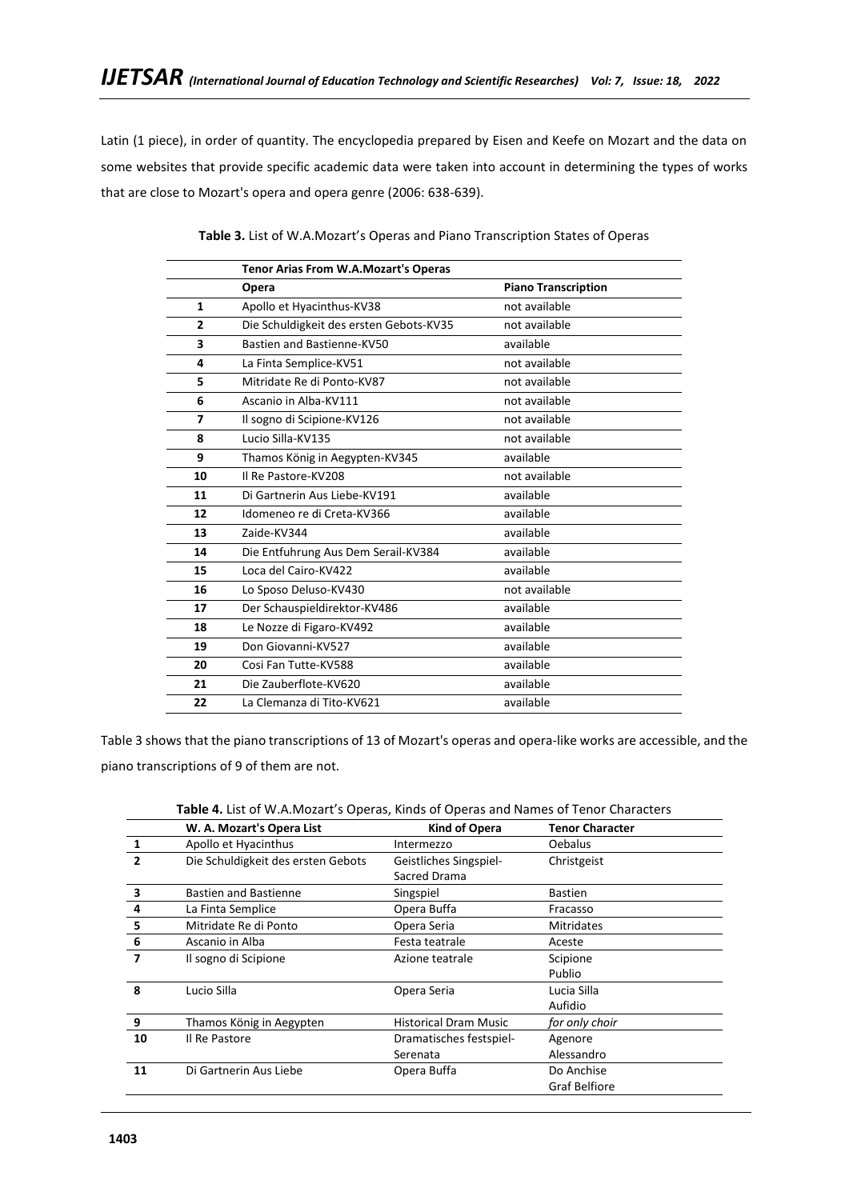Latin (1 piece), in order of quantity. The encyclopedia prepared by Eisen and Keefe on Mozart and the data on some websites that provide specific academic data were taken into account in determining the types of works that are close to Mozart's opera and opera genre (2006: 638-639).

|                | <b>Tenor Arias From W.A.Mozart's Operas</b> |                            |
|----------------|---------------------------------------------|----------------------------|
|                | Opera                                       | <b>Piano Transcription</b> |
| $\mathbf{1}$   | Apollo et Hyacinthus-KV38                   | not available              |
| $\overline{2}$ | Die Schuldigkeit des ersten Gebots-KV35     | not available              |
| 3              | Bastien and Bastienne-KV50                  | available                  |
| 4              | La Finta Semplice-KV51                      | not available              |
| 5              | Mitridate Re di Ponto-KV87                  | not available              |
| 6              | Ascanio in Alba-KV111                       | not available              |
| 7              | Il sogno di Scipione-KV126                  | not available              |
| 8              | Lucio Silla-KV135                           | not available              |
| 9              | Thamos König in Aegypten-KV345              | available                  |
| 10             | Il Re Pastore-KV208                         | not available              |
| 11             | Di Gartnerin Aus Liebe-KV191                | available                  |
| 12             | Idomeneo re di Creta-KV366                  | available                  |
| 13             | Zaide-KV344                                 | available                  |
| 14             | Die Entfuhrung Aus Dem Serail-KV384         | available                  |
| 15             | Loca del Cairo-KV422                        | available                  |
| 16             | Lo Sposo Deluso-KV430                       | not available              |
| 17             | Der Schauspieldirektor-KV486                | available                  |
| 18             | Le Nozze di Figaro-KV492                    | available                  |
| 19             | Don Giovanni-KV527                          | available                  |
| 20             | Cosi Fan Tutte-KV588                        | available                  |
| 21             | Die Zauberflote-KV620                       | available                  |
| 22             | La Clemanza di Tito-KV621                   | available                  |
|                |                                             |                            |

**Table 3.** List of W.A.Mozart's Operas and Piano Transcription States of Operas

Table 3 shows that the piano transcriptions of 13 of Mozart's operas and opera-like works are accessible, and the piano transcriptions of 9 of them are not.

| <b>Table 4.</b> List of W.A.Mozart's Operas, Kinds of Operas and Names of Tenor Characters |               |                        |
|--------------------------------------------------------------------------------------------|---------------|------------------------|
| W. A. Mozart's Opera List                                                                  | Kind of Opera | <b>Tenor Character</b> |

|              | W. A. Mozart's Opera List          | Kind of Opera                | Tenor Character      |
|--------------|------------------------------------|------------------------------|----------------------|
| 1            | Apollo et Hyacinthus               | Intermezzo                   | <b>Oebalus</b>       |
| $\mathbf{2}$ | Die Schuldigkeit des ersten Gebots | Geistliches Singspiel-       | Christgeist          |
|              |                                    | Sacred Drama                 |                      |
| 3            | <b>Bastien and Bastienne</b>       | Singspiel                    | <b>Bastien</b>       |
| 4            | La Finta Semplice                  | Opera Buffa                  | Fracasso             |
| 5            | Mitridate Re di Ponto              | Opera Seria                  | <b>Mitridates</b>    |
| 6            | Ascanio in Alba                    | Festa teatrale               | Aceste               |
| 7            | Il sogno di Scipione               | Azione teatrale              | Scipione             |
|              |                                    |                              | Publio               |
| 8            | Lucio Silla                        | Opera Seria                  | Lucia Silla          |
|              |                                    |                              | Aufidio              |
| 9            | Thamos König in Aegypten           | <b>Historical Dram Music</b> | for only choir       |
| 10           | Il Re Pastore                      | Dramatisches festspiel-      | Agenore              |
|              |                                    | Serenata                     | Alessandro           |
| 11           | Di Gartnerin Aus Liebe             | Opera Buffa                  | Do Anchise           |
|              |                                    |                              | <b>Graf Belfiore</b> |
|              |                                    |                              |                      |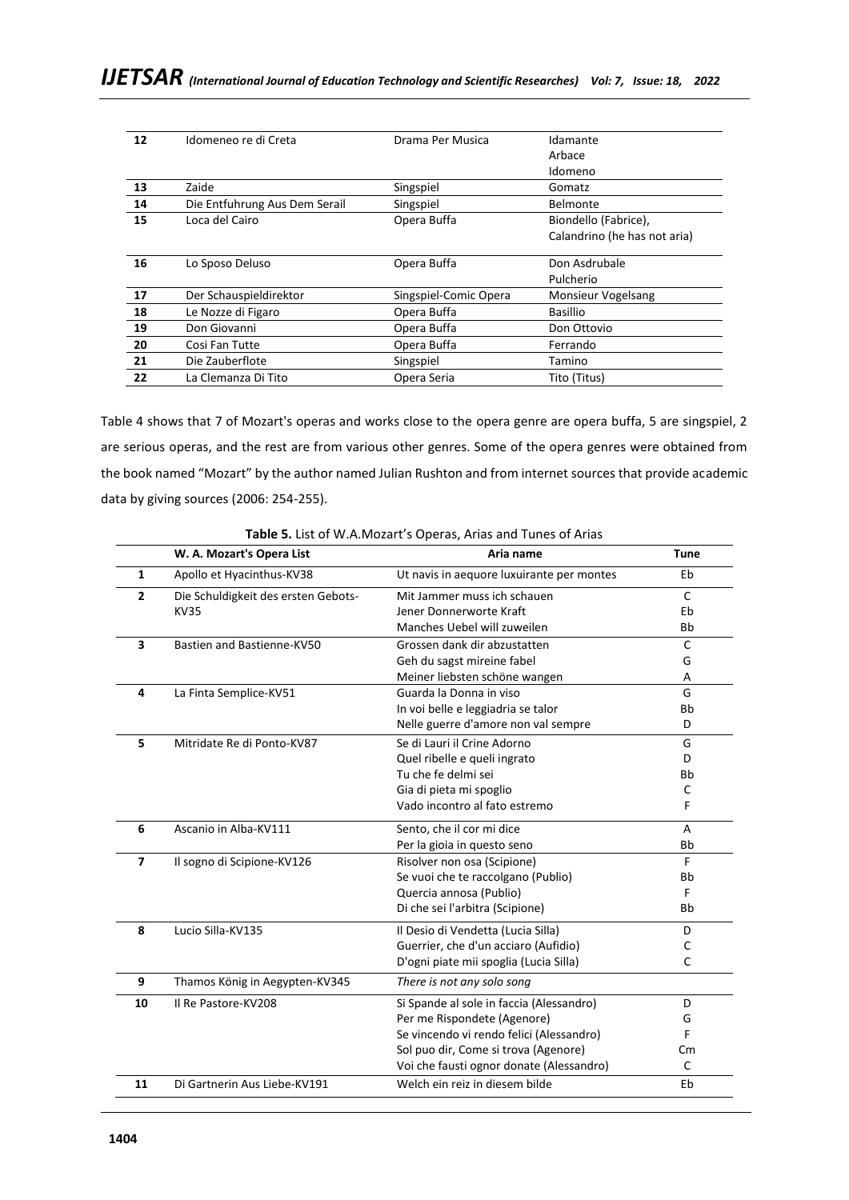| 12 | Idomeneo re di Creta          | Drama Per Musica      | Idamante                     |
|----|-------------------------------|-----------------------|------------------------------|
|    |                               |                       | Arbace                       |
|    |                               |                       | Idomeno                      |
| 13 | Zaide                         | Singspiel             | Gomatz                       |
| 14 | Die Entfuhrung Aus Dem Serail | Singspiel             | Belmonte                     |
| 15 | Loca del Cairo                | Opera Buffa           | Biondello (Fabrice),         |
|    |                               |                       | Calandrino (he has not aria) |
|    |                               |                       |                              |
| 16 | Lo Sposo Deluso               | Opera Buffa           | Don Asdrubale                |
|    |                               |                       | Pulcherio                    |
| 17 | Der Schauspieldirektor        | Singspiel-Comic Opera | <b>Monsieur Vogelsang</b>    |
| 18 | Le Nozze di Figaro            | Opera Buffa           | <b>Basillio</b>              |
| 19 | Don Giovanni                  | Opera Buffa           | Don Ottovio                  |
| 20 | Cosi Fan Tutte                | Opera Buffa           | Ferrando                     |
| 21 | Die Zauberflote               | Singspiel             | Tamino                       |
| 22 | La Clemanza Di Tito           | Opera Seria           | Tito (Titus)                 |
|    |                               |                       |                              |

Table 4 shows that 7 of Mozart's operas and works close to the opera genre are opera buffa, 5 are singspiel, 2 are serious operas, and the rest are from various other genres. Some of the opera genres were obtained from the book named "Mozart" by the author named Julian Rushton and from internet sources that provide academic data by giving sources (2006: 254-255).

|                | W. A. Mozart's Opera List           | Aria name                                 | <b>Tune</b> |
|----------------|-------------------------------------|-------------------------------------------|-------------|
| $\mathbf{1}$   | Apollo et Hyacinthus-KV38           | Ut navis in aequore luxuirante per montes | Eb          |
| $\overline{2}$ | Die Schuldigkeit des ersten Gebots- | Mit Jammer muss ich schauen               | C           |
|                | <b>KV35</b>                         | Jener Donnerworte Kraft                   | Eb          |
|                |                                     | Manches Uebel will zuweilen               | <b>Bb</b>   |
| 3              | Bastien and Bastienne-KV50          | Grossen dank dir abzustatten              | C           |
|                |                                     | Geh du sagst mireine fabel                | G           |
|                |                                     | Meiner liebsten schöne wangen             | A           |
| 4              | La Finta Semplice-KV51              | Guarda la Donna in viso                   | G           |
|                |                                     | In voi belle e leggiadria se talor        | <b>Bb</b>   |
|                |                                     | Nelle guerre d'amore non val sempre       | D           |
| 5              | Mitridate Re di Ponto-KV87          | Se di Lauri il Crine Adorno               | G           |
|                |                                     | Quel ribelle e queli ingrato              | D           |
|                |                                     | Tu che fe delmi sei                       | <b>Bb</b>   |
|                |                                     | Gia di pieta mi spoglio                   | C           |
|                |                                     | Vado incontro al fato estremo             | F           |
| 6              | Ascanio in Alba-KV111               | Sento, che il cor mi dice                 | A           |
|                |                                     | Per la gioia in questo seno               | <b>Bb</b>   |
| $\overline{ }$ | Il sogno di Scipione-KV126          | Risolver non osa (Scipione)               | F           |
|                |                                     | Se vuoi che te raccolgano (Publio)        | Bb          |
|                |                                     | Quercia annosa (Publio)                   | F.          |
|                |                                     | Di che sei l'arbitra (Scipione)           | <b>Bb</b>   |
| 8              | Lucio Silla-KV135                   | Il Desio di Vendetta (Lucia Silla)        | D           |
|                |                                     | Guerrier, che d'un acciaro (Aufidio)      | C           |
|                |                                     | D'ogni piate mii spoglia (Lucia Silla)    | C           |
| 9              | Thamos König in Aegypten-KV345      | There is not any solo song                |             |
| 10             | Il Re Pastore-KV208                 | Si Spande al sole in faccia (Alessandro)  | D           |
|                |                                     | Per me Rispondete (Agenore)               | G           |
|                |                                     | Se vincendo vi rendo felici (Alessandro)  | F           |
|                |                                     | Sol puo dir, Come si trova (Agenore)      | Cm          |
|                |                                     | Voi che fausti ognor donate (Alessandro)  | C           |
| 11             | Di Gartnerin Aus Liebe-KV191        | Welch ein reiz in diesem bilde            | Eb          |
|                |                                     |                                           |             |

**Table 5.** List of W.A.Mozart's Operas, Arias and Tunes of Arias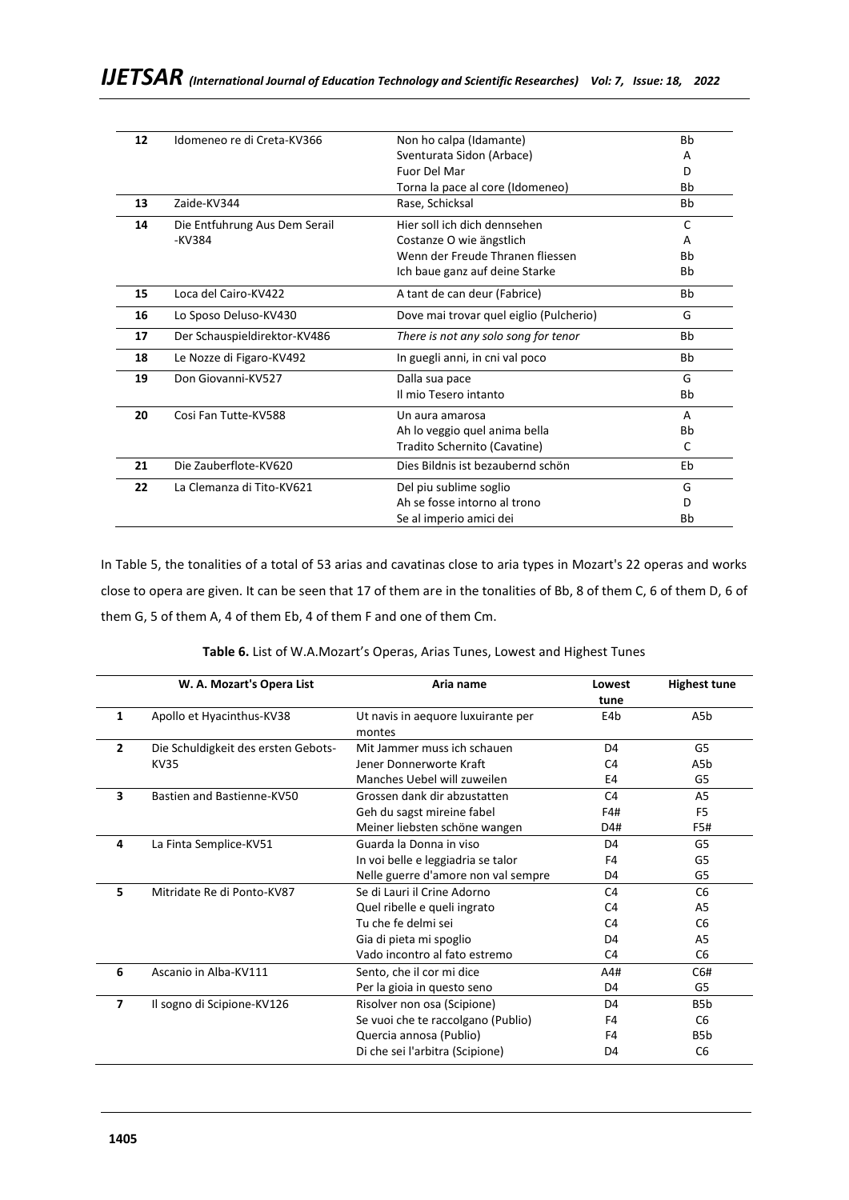| 12 | Idomeneo re di Creta-KV366    | Non ho calpa (Idamante)                 | <b>Bb</b> |
|----|-------------------------------|-----------------------------------------|-----------|
|    |                               | Sventurata Sidon (Arbace)               | А         |
|    |                               | <b>Fuor Del Mar</b>                     | D         |
|    |                               | Torna la pace al core (Idomeneo)        | <b>Bh</b> |
| 13 | 7aide-KV344                   | Rase, Schicksal                         | Bb        |
| 14 | Die Entfuhrung Aus Dem Serail | Hier soll ich dich dennsehen            | C         |
|    | -KV384                        | Costanze O wie ängstlich                | A         |
|    |                               | Wenn der Freude Thranen fliessen        | Bb        |
|    |                               | Ich baue ganz auf deine Starke          | Bb        |
| 15 | Loca del Cairo-KV422          | A tant de can deur (Fabrice)            | Bb        |
| 16 | Lo Sposo Deluso-KV430         | Dove mai trovar quel eiglio (Pulcherio) | G         |
| 17 | Der Schauspieldirektor-KV486  | There is not any solo song for tenor    | Bb        |
| 18 | Le Nozze di Figaro-KV492      | In guegli anni, in cni val poco         | <b>Bb</b> |
| 19 | Don Giovanni-KV527            | Dalla sua pace                          | G         |
|    |                               | Il mio Tesero intanto                   | Bb        |
| 20 | Cosi Fan Tutte-KV588          | Un aura amarosa                         | A         |
|    |                               | Ah lo veggio quel anima bella           | Bb        |
|    |                               | Tradito Schernito (Cavatine)            | C         |
| 21 | Die Zauberflote-KV620         | Dies Bildnis ist bezaubernd schön       | Eb        |
| 22 | La Clemanza di Tito-KV621     | Del piu sublime soglio                  | G         |
|    |                               | Ah se fosse intorno al trono            | D         |
|    |                               | Se al imperio amici dei                 | Вh        |
|    |                               |                                         |           |

In Table 5, the tonalities of a total of 53 arias and cavatinas close to aria types in Mozart's 22 operas and works close to opera are given. It can be seen that 17 of them are in the tonalities of Bb, 8 of them C, 6 of them D, 6 of them G, 5 of them A, 4 of them Eb, 4 of them F and one of them Cm.

| Table 6. List of W.A.Mozart's Operas, Arias Tunes, Lowest and Highest Tunes |  |
|-----------------------------------------------------------------------------|--|
|-----------------------------------------------------------------------------|--|

|              | W. A. Mozart's Opera List           | Aria name                           | Lowest         | <b>Highest tune</b> |
|--------------|-------------------------------------|-------------------------------------|----------------|---------------------|
|              |                                     |                                     | tune           |                     |
| 1            | Apollo et Hyacinthus-KV38           | Ut navis in aequore luxuirante per  | E4b            | A5 <sub>b</sub>     |
|              |                                     | montes                              |                |                     |
| $\mathbf{z}$ | Die Schuldigkeit des ersten Gebots- | Mit Jammer muss ich schauen         | D <sub>4</sub> | G5                  |
|              | <b>KV35</b>                         | Jener Donnerworte Kraft             | C <sub>4</sub> | A5b                 |
|              |                                     | Manches Uebel will zuweilen         | E4             | G5                  |
| 3            | Bastien and Bastienne-KV50          | Grossen dank dir abzustatten        | C <sub>4</sub> | A <sub>5</sub>      |
|              |                                     | Geh du sagst mireine fabel          | F4#            | F <sub>5</sub>      |
|              |                                     | Meiner liebsten schöne wangen       | D4#            | F5#                 |
| 4            | La Finta Semplice-KV51              | Guarda la Donna in viso             | D <sub>4</sub> | G5                  |
|              |                                     | In voi belle e leggiadria se talor  | F4             | G5                  |
|              |                                     | Nelle guerre d'amore non val sempre | D4             | G5                  |
| 5            | Mitridate Re di Ponto-KV87          | Se di Lauri il Crine Adorno         | C <sub>4</sub> | C <sub>6</sub>      |
|              |                                     | Quel ribelle e queli ingrato        | C <sub>4</sub> | A5                  |
|              |                                     | Tu che fe delmi sei                 | C <sub>4</sub> | C <sub>6</sub>      |
|              |                                     | Gia di pieta mi spoglio             | D <sub>4</sub> | A5                  |
|              |                                     | Vado incontro al fato estremo       | C4             | C <sub>6</sub>      |
| 6            | Ascanio in Alba-KV111               | Sento, che il cor mi dice           | A4#            | C6#                 |
|              |                                     | Per la gioia in questo seno         | D4             | G5                  |
| 7            | Il sogno di Scipione-KV126          | Risolver non osa (Scipione)         | D <sub>4</sub> | B <sub>5</sub> b    |
|              |                                     | Se vuoi che te raccolgano (Publio)  | F4             | C <sub>6</sub>      |
|              |                                     | Quercia annosa (Publio)             | F4             | B <sub>5</sub> b    |
|              |                                     | Di che sei l'arbitra (Scipione)     | D4             | C <sub>6</sub>      |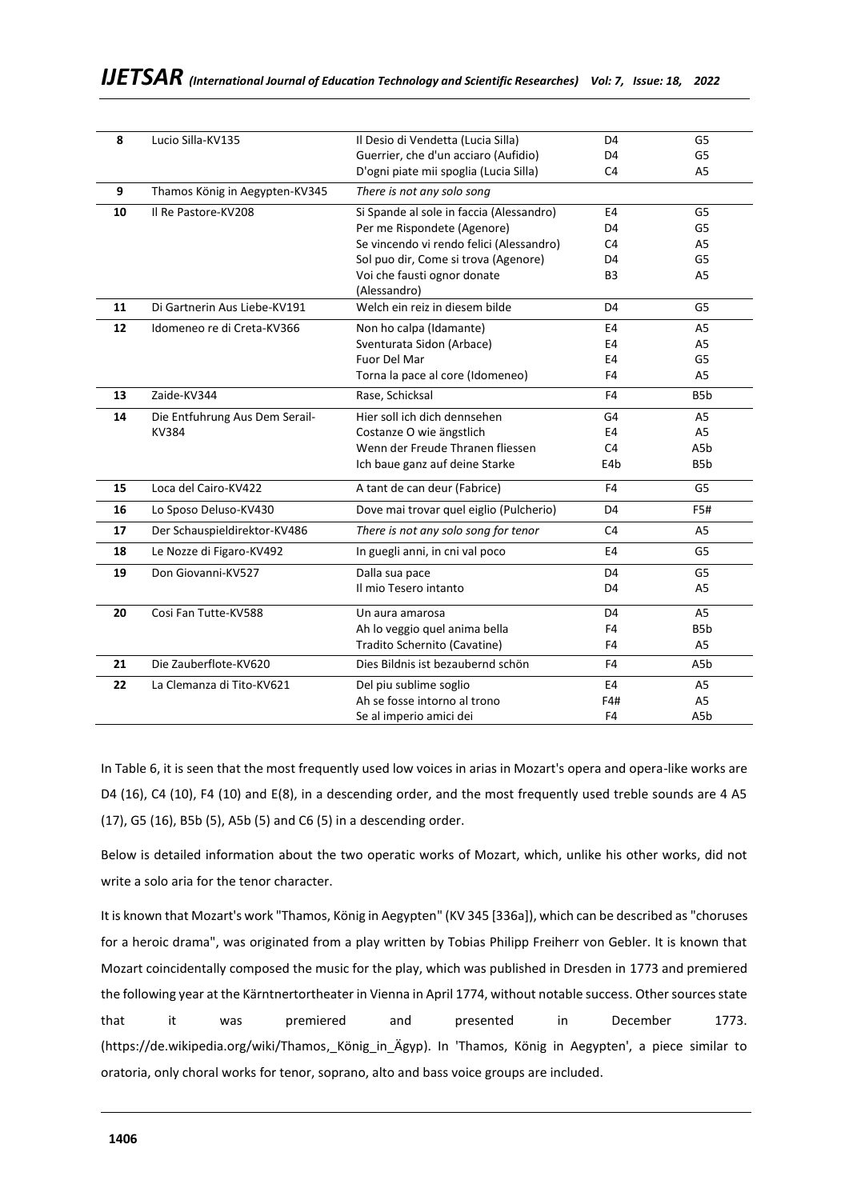| 8  | Lucio Silla-KV135              | Il Desio di Vendetta (Lucia Silla)       | D4             | G5               |
|----|--------------------------------|------------------------------------------|----------------|------------------|
|    |                                | Guerrier, che d'un acciaro (Aufidio)     | D <sub>4</sub> | G5               |
|    |                                | D'ogni piate mii spoglia (Lucia Silla)   | C <sub>4</sub> | A <sub>5</sub>   |
| 9  | Thamos König in Aegypten-KV345 | There is not any solo song               |                |                  |
| 10 | Il Re Pastore-KV208            | Si Spande al sole in faccia (Alessandro) | E4             | G5               |
|    |                                | Per me Rispondete (Agenore)              | D4             | G5               |
|    |                                | Se vincendo vi rendo felici (Alessandro) | C <sub>4</sub> | A <sub>5</sub>   |
|    |                                | Sol puo dir, Come si trova (Agenore)     | D4             | G5               |
|    |                                | Voi che fausti ognor donate              | B <sub>3</sub> | A <sub>5</sub>   |
|    |                                | (Alessandro)                             |                |                  |
| 11 | Di Gartnerin Aus Liebe-KV191   | Welch ein reiz in diesem bilde           | D <sub>4</sub> | G5               |
| 12 | Idomeneo re di Creta-KV366     | Non ho calpa (Idamante)                  | E4             | A5               |
|    |                                | Sventurata Sidon (Arbace)                | E4             | A <sub>5</sub>   |
|    |                                | Fuor Del Mar                             | E4             | G5               |
|    |                                | Torna la pace al core (Idomeneo)         | F4             | A <sub>5</sub>   |
| 13 | Zaide-KV344                    | Rase, Schicksal                          | F4             | B5b              |
| 14 | Die Entfuhrung Aus Dem Serail- | Hier soll ich dich dennsehen             | G4             | A <sub>5</sub>   |
|    | <b>KV384</b>                   | Costanze O wie ängstlich                 | E4             | A <sub>5</sub>   |
|    |                                | Wenn der Freude Thranen fliessen         | C <sub>4</sub> | A5b              |
|    |                                | Ich baue ganz auf deine Starke           | E4b            | B <sub>5</sub> b |
| 15 | Loca del Cairo-KV422           | A tant de can deur (Fabrice)             | F4             | G5               |
| 16 | Lo Sposo Deluso-KV430          | Dove mai trovar quel eiglio (Pulcherio)  | D4             | F5#              |
| 17 | Der Schauspieldirektor-KV486   | There is not any solo song for tenor     | C <sub>4</sub> | A <sub>5</sub>   |
| 18 | Le Nozze di Figaro-KV492       | In guegli anni, in cni val poco          | E4             | G5               |
| 19 | Don Giovanni-KV527             | Dalla sua pace                           | D4             | G5               |
|    |                                | Il mio Tesero intanto                    | D <sub>4</sub> | A <sub>5</sub>   |
| 20 | Cosi Fan Tutte-KV588           | Un aura amarosa                          | D <sub>4</sub> | A5               |
|    |                                | Ah lo veggio quel anima bella            | F4             | B <sub>5</sub> b |
|    |                                | Tradito Schernito (Cavatine)             | F4             | A <sub>5</sub>   |
| 21 | Die Zauberflote-KV620          | Dies Bildnis ist bezaubernd schön        | F4             | A5b              |
| 22 | La Clemanza di Tito-KV621      | Del piu sublime soglio                   | E4             | A5               |
|    |                                | Ah se fosse intorno al trono             | F4#            | A <sub>5</sub>   |
|    |                                | Se al imperio amici dei                  | F4             | A5b              |

In Table 6, it is seen that the most frequently used low voices in arias in Mozart's opera and opera-like works are D4 (16), C4 (10), F4 (10) and E(8), in a descending order, and the most frequently used treble sounds are 4 A5 (17), G5 (16), B5b (5), A5b (5) and C6 (5) in a descending order.

Below is detailed information about the two operatic works of Mozart, which, unlike his other works, did not write a solo aria for the tenor character.

It is known that Mozart's work "Thamos, König in Aegypten" (KV 345 [336a]), which can be described as "choruses for a heroic drama", was originated from a play written by Tobias Philipp Freiherr von Gebler. It is known that Mozart coincidentally composed the music for the play, which was published in Dresden in 1773 and premiered the following year at the Kärntnertortheater in Vienna in April 1774, without notable success. Other sources state that it was premiered and presented in December 1773. (https://de.wikipedia.org/wiki/Thamos,\_König\_in\_Ägyp). In 'Thamos, König in Aegypten', a piece similar to oratoria, only choral works for tenor, soprano, alto and bass voice groups are included.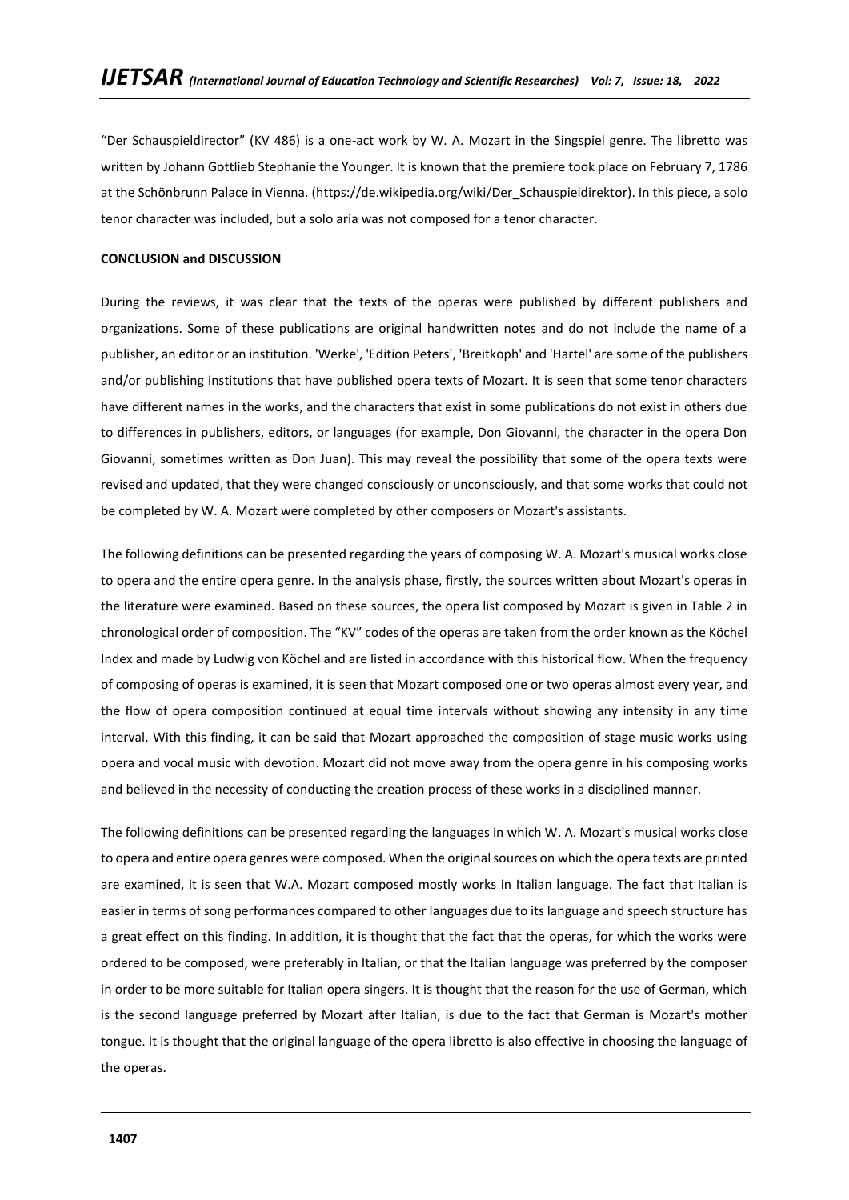"Der Schauspieldirector" (KV 486) is a one-act work by W. A. Mozart in the Singspiel genre. The libretto was written by Johann Gottlieb Stephanie the Younger. It is known that the premiere took place on February 7, 1786 at the Schönbrunn Palace in Vienna. ([https://de.wikipedia.org/wiki/Der\\_Schauspieldirektor\)](https://de.wikipedia.org/wiki/Der_Schauspieldirektor). In this piece, a solo tenor character was included, but a solo aria was not composed for a tenor character.

# **CONCLUSION and DISCUSSION**

During the reviews, it was clear that the texts of the operas were published by different publishers and organizations. Some of these publications are original handwritten notes and do not include the name of a publisher, an editor or an institution. 'Werke', 'Edition Peters', 'Breitkoph' and 'Hartel' are some of the publishers and/or publishing institutions that have published opera texts of Mozart. It is seen that some tenor characters have different names in the works, and the characters that exist in some publications do not exist in others due to differences in publishers, editors, or languages (for example, Don Giovanni, the character in the opera Don Giovanni, sometimes written as Don Juan). This may reveal the possibility that some of the opera texts were revised and updated, that they were changed consciously or unconsciously, and that some works that could not be completed by W. A. Mozart were completed by other composers or Mozart's assistants.

The following definitions can be presented regarding the years of composing W. A. Mozart's musical works close to opera and the entire opera genre. In the analysis phase, firstly, the sources written about Mozart's operas in the literature were examined. Based on these sources, the opera list composed by Mozart is given in Table 2 in chronological order of composition. The "KV" codes of the operas are taken from the order known as the Köchel Index and made by Ludwig von Köchel and are listed in accordance with this historical flow. When the frequency of composing of operas is examined, it is seen that Mozart composed one or two operas almost every year, and the flow of opera composition continued at equal time intervals without showing any intensity in any time interval. With this finding, it can be said that Mozart approached the composition of stage music works using opera and vocal music with devotion. Mozart did not move away from the opera genre in his composing works and believed in the necessity of conducting the creation process of these works in a disciplined manner.

The following definitions can be presented regarding the languages in which W. A. Mozart's musical works close to opera and entire opera genres were composed. When the original sources on which the opera texts are printed are examined, it is seen that W.A. Mozart composed mostly works in Italian language. The fact that Italian is easier in terms of song performances compared to other languages due to its language and speech structure has a great effect on this finding. In addition, it is thought that the fact that the operas, for which the works were ordered to be composed, were preferably in Italian, or that the Italian language was preferred by the composer in order to be more suitable for Italian opera singers. It is thought that the reason for the use of German, which is the second language preferred by Mozart after Italian, is due to the fact that German is Mozart's mother tongue. It is thought that the original language of the opera libretto is also effective in choosing the language of the operas.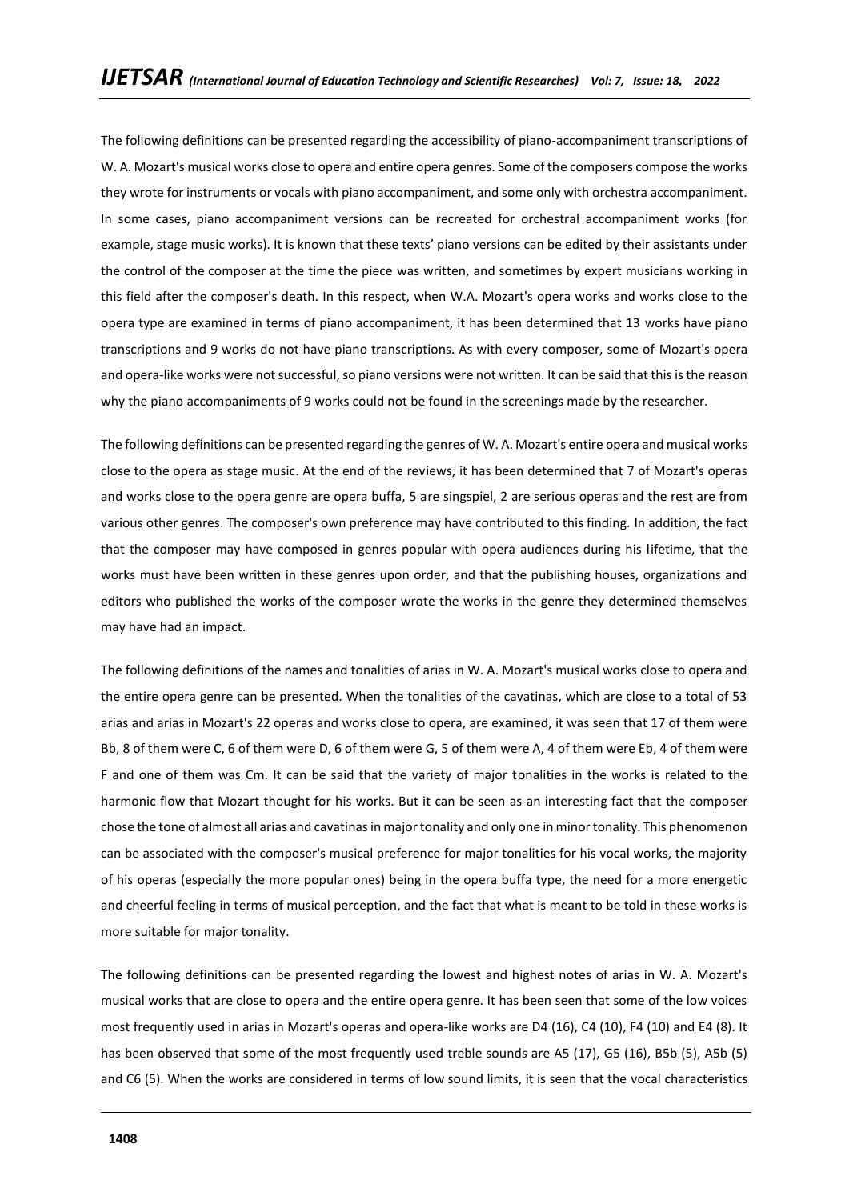The following definitions can be presented regarding the accessibility of piano-accompaniment transcriptions of W. A. Mozart's musical works close to opera and entire opera genres. Some of the composers compose the works they wrote for instruments or vocals with piano accompaniment, and some only with orchestra accompaniment. In some cases, piano accompaniment versions can be recreated for orchestral accompaniment works (for example, stage music works). It is known that these texts' piano versions can be edited by their assistants under the control of the composer at the time the piece was written, and sometimes by expert musicians working in this field after the composer's death. In this respect, when W.A. Mozart's opera works and works close to the opera type are examined in terms of piano accompaniment, it has been determined that 13 works have piano transcriptions and 9 works do not have piano transcriptions. As with every composer, some of Mozart's opera and opera-like works were not successful, so piano versions were not written. It can be said that this is the reason why the piano accompaniments of 9 works could not be found in the screenings made by the researcher.

The following definitions can be presented regarding the genres of W. A. Mozart's entire opera and musical works close to the opera as stage music. At the end of the reviews, it has been determined that 7 of Mozart's operas and works close to the opera genre are opera buffa, 5 are singspiel, 2 are serious operas and the rest are from various other genres. The composer's own preference may have contributed to this finding. In addition, the fact that the composer may have composed in genres popular with opera audiences during his lifetime, that the works must have been written in these genres upon order, and that the publishing houses, organizations and editors who published the works of the composer wrote the works in the genre they determined themselves may have had an impact.

The following definitions of the names and tonalities of arias in W. A. Mozart's musical works close to opera and the entire opera genre can be presented. When the tonalities of the cavatinas, which are close to a total of 53 arias and arias in Mozart's 22 operas and works close to opera, are examined, it was seen that 17 of them were Bb, 8 of them were C, 6 of them were D, 6 of them were G, 5 of them were A, 4 of them were Eb, 4 of them were F and one of them was Cm. It can be said that the variety of major tonalities in the works is related to the harmonic flow that Mozart thought for his works. But it can be seen as an interesting fact that the composer chose the tone of almost all arias and cavatinas in major tonality and only one in minor tonality. This phenomenon can be associated with the composer's musical preference for major tonalities for his vocal works, the majority of his operas (especially the more popular ones) being in the opera buffa type, the need for a more energetic and cheerful feeling in terms of musical perception, and the fact that what is meant to be told in these works is more suitable for major tonality.

The following definitions can be presented regarding the lowest and highest notes of arias in W. A. Mozart's musical works that are close to opera and the entire opera genre. It has been seen that some of the low voices most frequently used in arias in Mozart's operas and opera-like works are D4 (16), C4 (10), F4 (10) and E4 (8). It has been observed that some of the most frequently used treble sounds are A5 (17), G5 (16), B5b (5), A5b (5) and C6 (5). When the works are considered in terms of low sound limits, it is seen that the vocal characteristics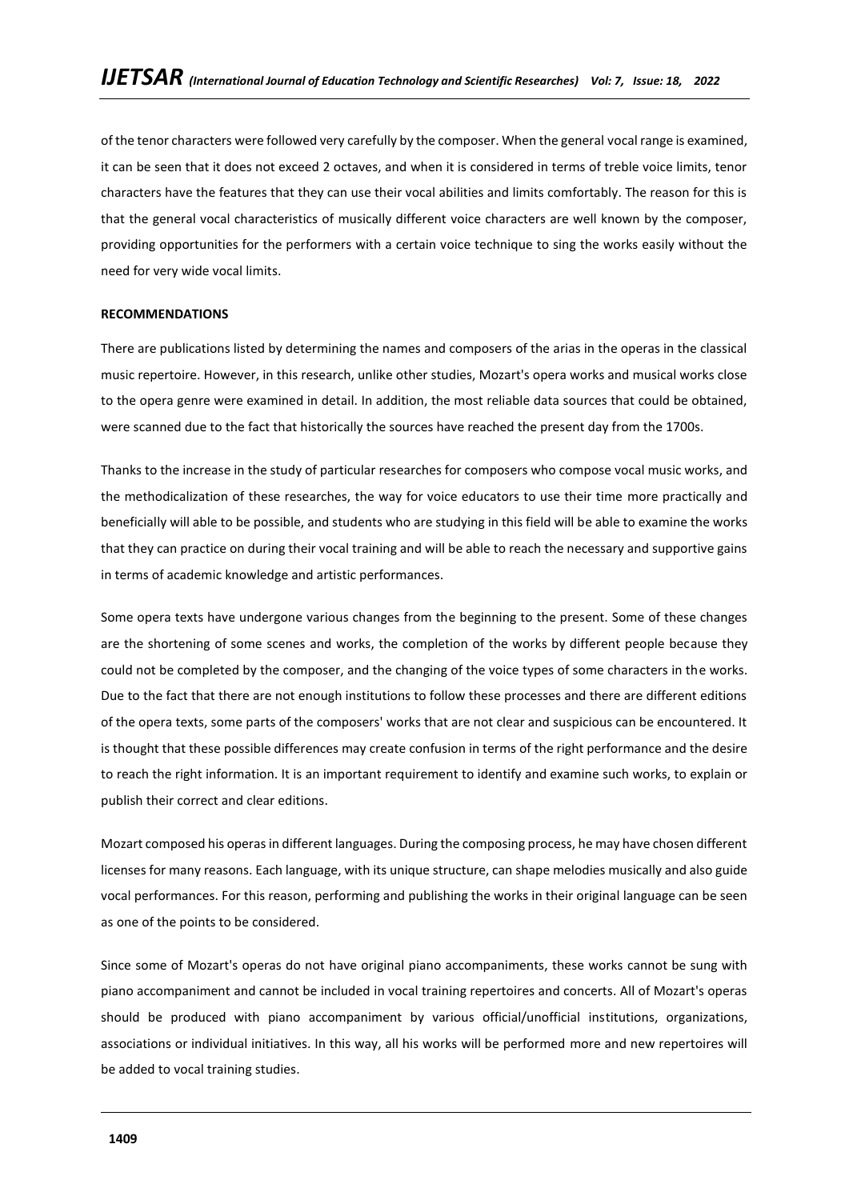of the tenor characters were followed very carefully by the composer. When the general vocal range is examined, it can be seen that it does not exceed 2 octaves, and when it is considered in terms of treble voice limits, tenor characters have the features that they can use their vocal abilities and limits comfortably. The reason for this is that the general vocal characteristics of musically different voice characters are well known by the composer, providing opportunities for the performers with a certain voice technique to sing the works easily without the need for very wide vocal limits.

# **RECOMMENDATIONS**

There are publications listed by determining the names and composers of the arias in the operas in the classical music repertoire. However, in this research, unlike other studies, Mozart's opera works and musical works close to the opera genre were examined in detail. In addition, the most reliable data sources that could be obtained, were scanned due to the fact that historically the sources have reached the present day from the 1700s.

Thanks to the increase in the study of particular researches for composers who compose vocal music works, and the methodicalization of these researches, the way for voice educators to use their time more practically and beneficially will able to be possible, and students who are studying in this field will be able to examine the works that they can practice on during their vocal training and will be able to reach the necessary and supportive gains in terms of academic knowledge and artistic performances.

Some opera texts have undergone various changes from the beginning to the present. Some of these changes are the shortening of some scenes and works, the completion of the works by different people because they could not be completed by the composer, and the changing of the voice types of some characters in the works. Due to the fact that there are not enough institutions to follow these processes and there are different editions of the opera texts, some parts of the composers' works that are not clear and suspicious can be encountered. It is thought that these possible differences may create confusion in terms of the right performance and the desire to reach the right information. It is an important requirement to identify and examine such works, to explain or publish their correct and clear editions.

Mozart composed his operas in different languages. During the composing process, he may have chosen different licenses for many reasons. Each language, with its unique structure, can shape melodies musically and also guide vocal performances. For this reason, performing and publishing the works in their original language can be seen as one of the points to be considered.

Since some of Mozart's operas do not have original piano accompaniments, these works cannot be sung with piano accompaniment and cannot be included in vocal training repertoires and concerts. All of Mozart's operas should be produced with piano accompaniment by various official/unofficial institutions, organizations, associations or individual initiatives. In this way, all his works will be performed more and new repertoires will be added to vocal training studies.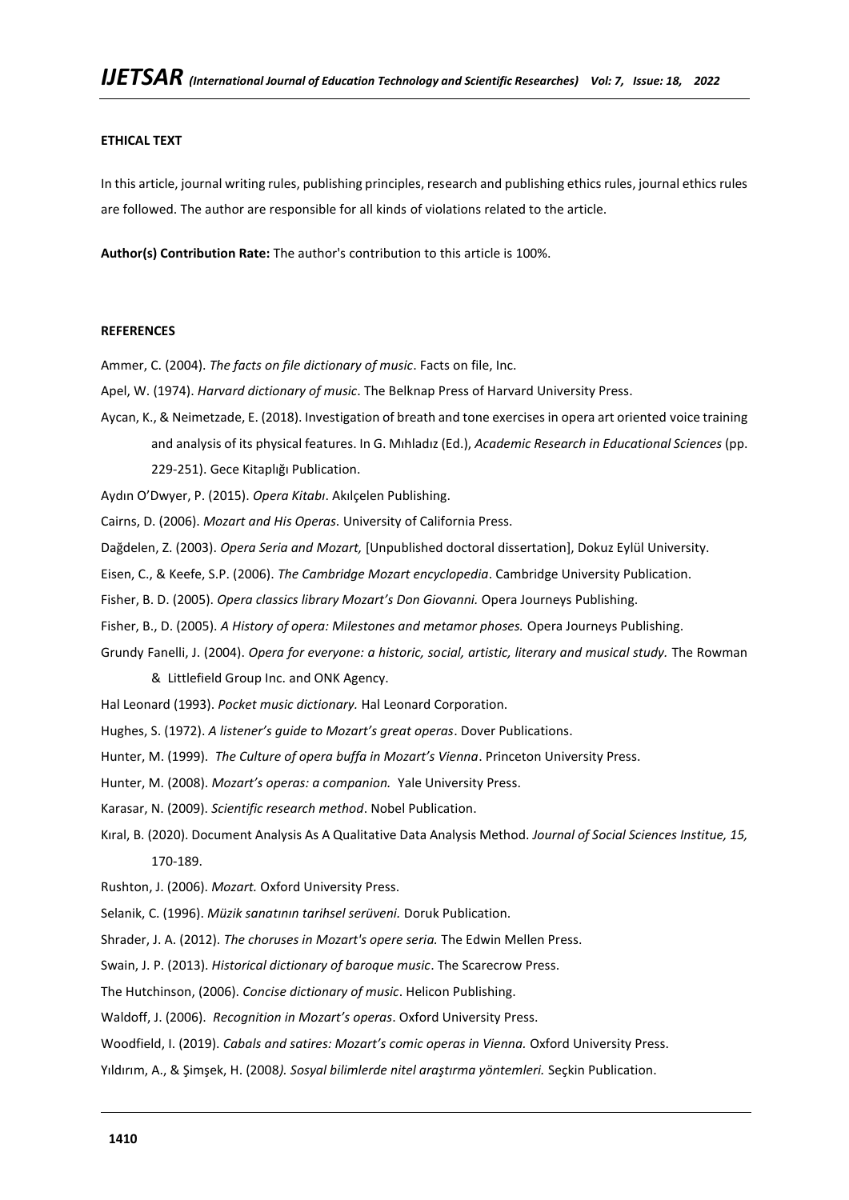# **ETHICAL TEXT**

In this article, journal writing rules, publishing principles, research and publishing ethics rules, journal ethics rules are followed. The author are responsible for all kinds of violations related to the article.

**Author(s) Contribution Rate:** The author's contribution to this article is 100%.

#### **REFERENCES**

Ammer, C. (2004). *The facts on file dictionary of music*. Facts on file, Inc.

- Apel, W. (1974). *Harvard dictionary of music*. The Belknap Press of Harvard University Press.
- Aycan, K., & Neimetzade, E. (2018). Investigation of breath and tone exercises in opera art oriented voice training and analysis of its physical features. In G. Mıhladız (Ed.), *Academic Research in Educational Sciences* (pp.

229-251). Gece Kitaplığı Publication.

Aydın O'Dwyer, P. (2015). *Opera Kitabı*. Akılçelen Publishing.

Cairns, D. (2006). *Mozart and His Operas*. University of California Press.

Dağdelen, Z. (2003). *Opera Seria and Mozart,* [Unpublished doctoral dissertation], Dokuz Eylül University.

Eisen, C., & Keefe, S.P. (2006). *The Cambridge Mozart encyclopedia*. Cambridge University Publication.

Fisher, B. D. (2005). *Opera classics library Mozart's Don Giovanni.* Opera Journeys Publishing.

Fisher, B., D. (2005). *A History of opera: Milestones and metamor phoses.* Opera Journeys Publishing.

Grundy Fanelli, J. (2004). *Opera for everyone: a historic, social, artistic, literary and musical study.* The Rowman

& Littlefield Group Inc. and ONK Agency.

Hal Leonard (1993). *Pocket music dictionary.* Hal Leonard Corporation.

Hughes, S. (1972). *A listener's guide to Mozart's great operas*. Dover Publications.

Hunter, M. (1999). *The Culture of opera buffa in Mozart's Vienna*. Princeton University Press.

Hunter, M. (2008). *Mozart's operas: a companion.* Yale University Press.

Karasar, N. (2009). *Scientific research method*. Nobel Publication.

Kıral, B. (2020). Document Analysis As A Qualitative Data Analysis Method. *Journal of Social Sciences Institue, 15,*  170-189.

Rushton, J. (2006). *Mozart.* Oxford University Press.

Selanik, C. (1996). *Müzik sanatının tarihsel serüveni.* Doruk Publication.

Shrader, J. A. (2012). *The choruses in Mozart's opere seria.* The Edwin Mellen Press.

Swain, J. P. (2013). *Historical dictionary of baroque music*. The Scarecrow Press.

The Hutchinson, (2006). *Concise dictionary of music*. Helicon Publishing.

Waldoff, J. (2006). *Recognition in Mozart's operas*. Oxford University Press.

Woodfield, I. (2019). *Cabals and satires: Mozart's comic operas in Vienna.* Oxford University Press.

Yıldırım, A., & Şimşek, H. (2008*). Sosyal bilimlerde nitel araştırma yöntemleri.* Seçkin Publication.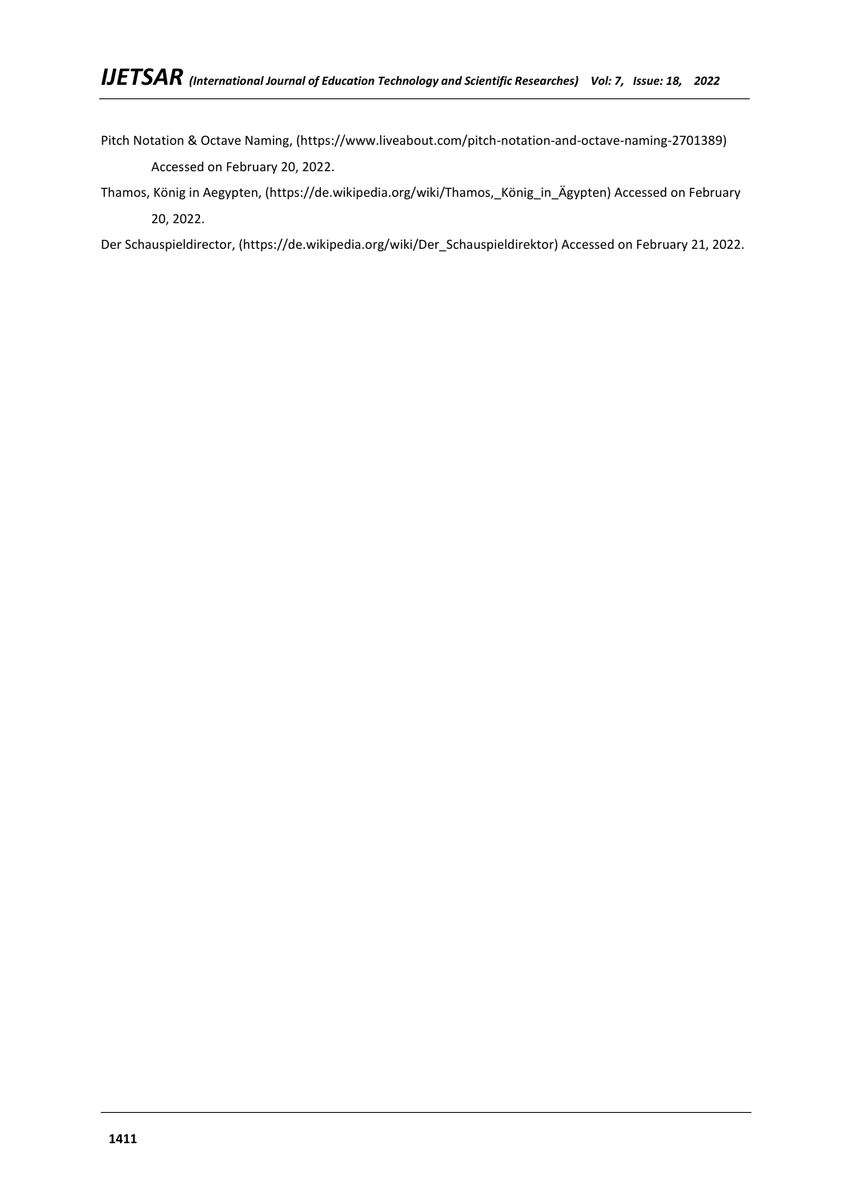Pitch Notation & Octave Naming, (https://www.liveabout.com/pitch-notation-and-octave-naming-2701389) Accessed on February 20, 2022.

Thamos, König in Aegypten, (https://de.wikipedia.org/wiki/Thamos,\_König\_in\_Ägypten) Accessed on February 20, 2022.

Der Schauspieldirector, (https://de.wikipedia.org/wiki/Der\_Schauspieldirektor) Accessed on February 21, 2022.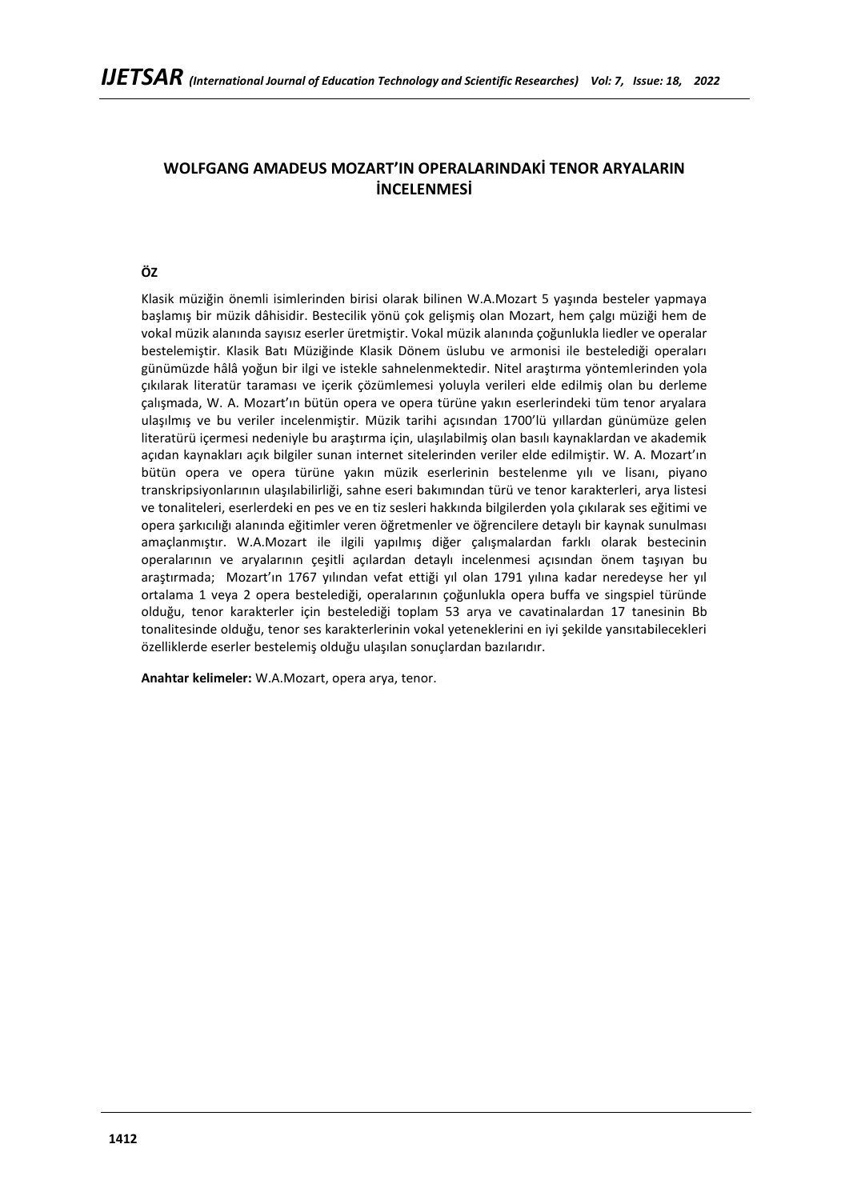# **WOLFGANG AMADEUS MOZART'IN OPERALARINDAKİ TENOR ARYALARIN İNCELENMESİ**

# **ÖZ**

Klasik müziğin önemli isimlerinden birisi olarak bilinen W.A.Mozart 5 yaşında besteler yapmaya başlamış bir müzik dâhisidir. Bestecilik yönü çok gelişmiş olan Mozart, hem çalgı müziği hem de vokal müzik alanında sayısız eserler üretmiştir. Vokal müzik alanında çoğunlukla liedler ve operalar bestelemiştir. Klasik Batı Müziğinde Klasik Dönem üslubu ve armonisi ile bestelediği operaları günümüzde hâlâ yoğun bir ilgi ve istekle sahnelenmektedir. Nitel araştırma yöntemlerinden yola çıkılarak literatür taraması ve içerik çözümlemesi yoluyla verileri elde edilmiş olan bu derleme çalışmada, W. A. Mozart'ın bütün opera ve opera türüne yakın eserlerindeki tüm tenor aryalara ulaşılmış ve bu veriler incelenmiştir. Müzik tarihi açısından 1700'lü yıllardan günümüze gelen literatürü içermesi nedeniyle bu araştırma için, ulaşılabilmiş olan basılı kaynaklardan ve akademik açıdan kaynakları açık bilgiler sunan internet sitelerinden veriler elde edilmiştir. W. A. Mozart'ın bütün opera ve opera türüne yakın müzik eserlerinin bestelenme yılı ve lisanı, piyano transkripsiyonlarının ulaşılabilirliği, sahne eseri bakımından türü ve tenor karakterleri, arya listesi ve tonaliteleri, eserlerdeki en pes ve en tiz sesleri hakkında bilgilerden yola çıkılarak ses eğitimi ve opera şarkıcılığı alanında eğitimler veren öğretmenler ve öğrencilere detaylı bir kaynak sunulması amaçlanmıştır. W.A.Mozart ile ilgili yapılmış diğer çalışmalardan farklı olarak bestecinin operalarının ve aryalarının çeşitli açılardan detaylı incelenmesi açısından önem taşıyan bu araştırmada; Mozart'ın 1767 yılından vefat ettiği yıl olan 1791 yılına kadar neredeyse her yıl ortalama 1 veya 2 opera bestelediği, operalarının çoğunlukla opera buffa ve singspiel türünde olduğu, tenor karakterler için bestelediği toplam 53 arya ve cavatinalardan 17 tanesinin Bb tonalitesinde olduğu, tenor ses karakterlerinin vokal yeteneklerini en iyi şekilde yansıtabilecekleri özelliklerde eserler bestelemiş olduğu ulaşılan sonuçlardan bazılarıdır.

**Anahtar kelimeler:** W.A.Mozart, opera arya, tenor.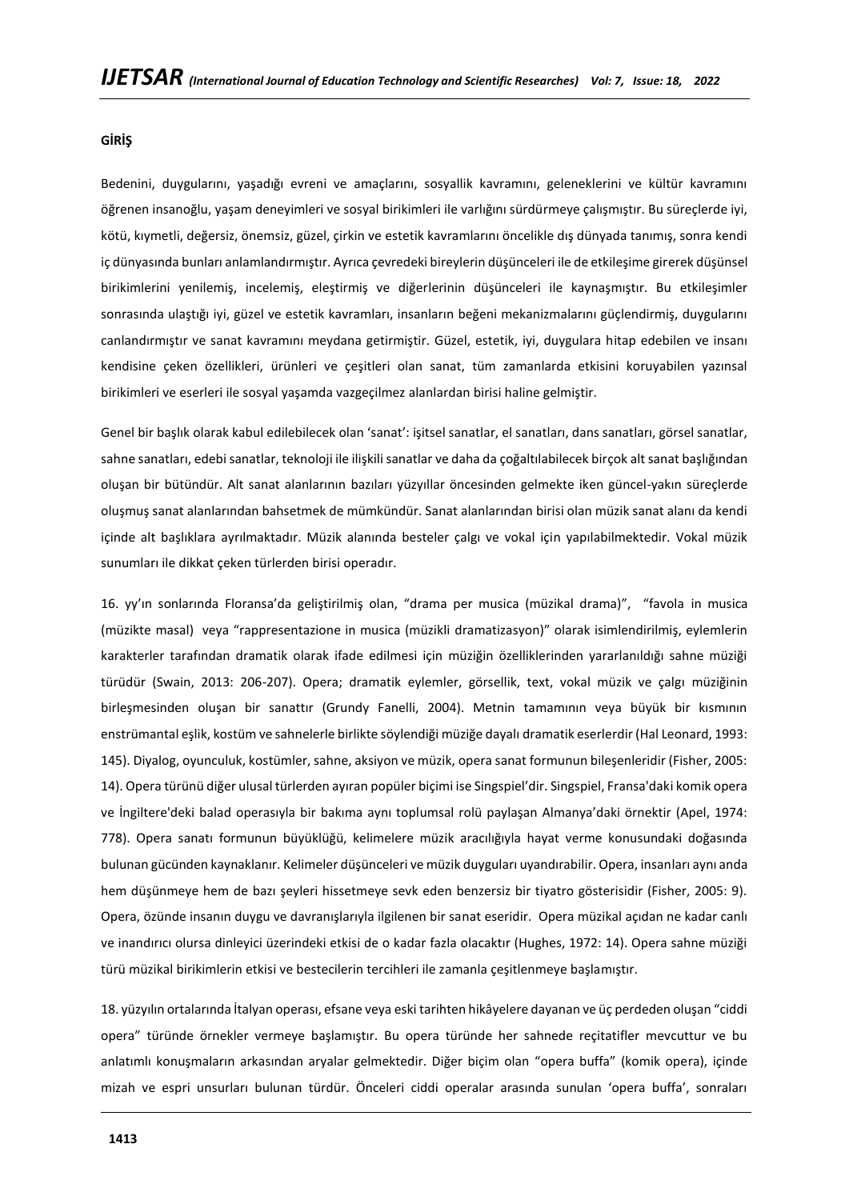### **GİRİŞ**

Bedenini, duygularını, yaşadığı evreni ve amaçlarını, sosyallik kavramını, geleneklerini ve kültür kavramını öğrenen insanoğlu, yaşam deneyimleri ve sosyal birikimleri ile varlığını sürdürmeye çalışmıştır. Bu süreçlerde iyi, kötü, kıymetli, değersiz, önemsiz, güzel, çirkin ve estetik kavramlarını öncelikle dış dünyada tanımış, sonra kendi iç dünyasında bunları anlamlandırmıştır. Ayrıca çevredeki bireylerin düşünceleri ile de etkileşime girerek düşünsel birikimlerini yenilemiş, incelemiş, eleştirmiş ve diğerlerinin düşünceleri ile kaynaşmıştır. Bu etkileşimler sonrasında ulaştığı iyi, güzel ve estetik kavramları, insanların beğeni mekanizmalarını güçlendirmiş, duygularını canlandırmıştır ve sanat kavramını meydana getirmiştir. Güzel, estetik, iyi, duygulara hitap edebilen ve insanı kendisine çeken özellikleri, ürünleri ve çeşitleri olan sanat, tüm zamanlarda etkisini koruyabilen yazınsal birikimleri ve eserleri ile sosyal yaşamda vazgeçilmez alanlardan birisi haline gelmiştir.

Genel bir başlık olarak kabul edilebilecek olan 'sanat': işitsel sanatlar, el sanatları, dans sanatları, görsel sanatlar, sahne sanatları, edebi sanatlar, teknoloji ile ilişkili sanatlar ve daha da çoğaltılabilecek birçok alt sanat başlığından oluşan bir bütündür. Alt sanat alanlarının bazıları yüzyıllar öncesinden gelmekte iken güncel-yakın süreçlerde oluşmuş sanat alanlarından bahsetmek de mümkündür. Sanat alanlarından birisi olan müzik sanat alanı da kendi içinde alt başlıklara ayrılmaktadır. Müzik alanında besteler çalgı ve vokal için yapılabilmektedir. Vokal müzik sunumları ile dikkat çeken türlerden birisi operadır.

16. yy'ın sonlarında Floransa'da geliştirilmiş olan, "drama per musica (müzikal drama)", "favola in musica (müzikte masal) veya "rappresentazione in musica (müzikli dramatizasyon)" olarak isimlendirilmiş, eylemlerin karakterler tarafından dramatik olarak ifade edilmesi için müziğin özelliklerinden yararlanıldığı sahne müziği türüdür (Swain, 2013: 206-207). Opera; dramatik eylemler, görsellik, text, vokal müzik ve çalgı müziğinin birleşmesinden oluşan bir sanattır (Grundy Fanelli, 2004). Metnin tamamının veya büyük bir kısmının enstrümantal eşlik, kostüm ve sahnelerle birlikte söylendiği müziğe dayalı dramatik eserlerdir (Hal Leonard, 1993: 145). Diyalog, oyunculuk, kostümler, sahne, aksiyon ve müzik, opera sanat formunun bileşenleridir (Fisher, 2005: 14). Opera türünü diğer ulusal türlerden ayıran popüler biçimi ise Singspiel'dir. Singspiel, Fransa'daki komik opera ve İngiltere'deki balad operasıyla bir bakıma aynı toplumsal rolü paylaşan Almanya'daki örnektir (Apel, 1974: 778). Opera sanatı formunun büyüklüğü, kelimelere müzik aracılığıyla hayat verme konusundaki doğasında bulunan gücünden kaynaklanır. Kelimeler düşünceleri ve müzik duyguları uyandırabilir. Opera, insanları aynı anda hem düşünmeye hem de bazı şeyleri hissetmeye sevk eden benzersiz bir tiyatro gösterisidir (Fisher, 2005: 9). Opera, özünde insanın duygu ve davranışlarıyla ilgilenen bir sanat eseridir. Opera müzikal açıdan ne kadar canlı ve inandırıcı olursa dinleyici üzerindeki etkisi de o kadar fazla olacaktır (Hughes, 1972: 14). Opera sahne müziği türü müzikal birikimlerin etkisi ve bestecilerin tercihleri ile zamanla çeşitlenmeye başlamıştır.

18. yüzyılın ortalarında İtalyan operası, efsane veya eski tarihten hikâyelere dayanan ve üç perdeden oluşan "ciddi opera" türünde örnekler vermeye başlamıştır. Bu opera türünde her sahnede reçitatifler mevcuttur ve bu anlatımlı konuşmaların arkasından aryalar gelmektedir. Diğer biçim olan "opera buffa" (komik opera), içinde mizah ve espri unsurları bulunan türdür. Önceleri ciddi operalar arasında sunulan 'opera buffa', sonraları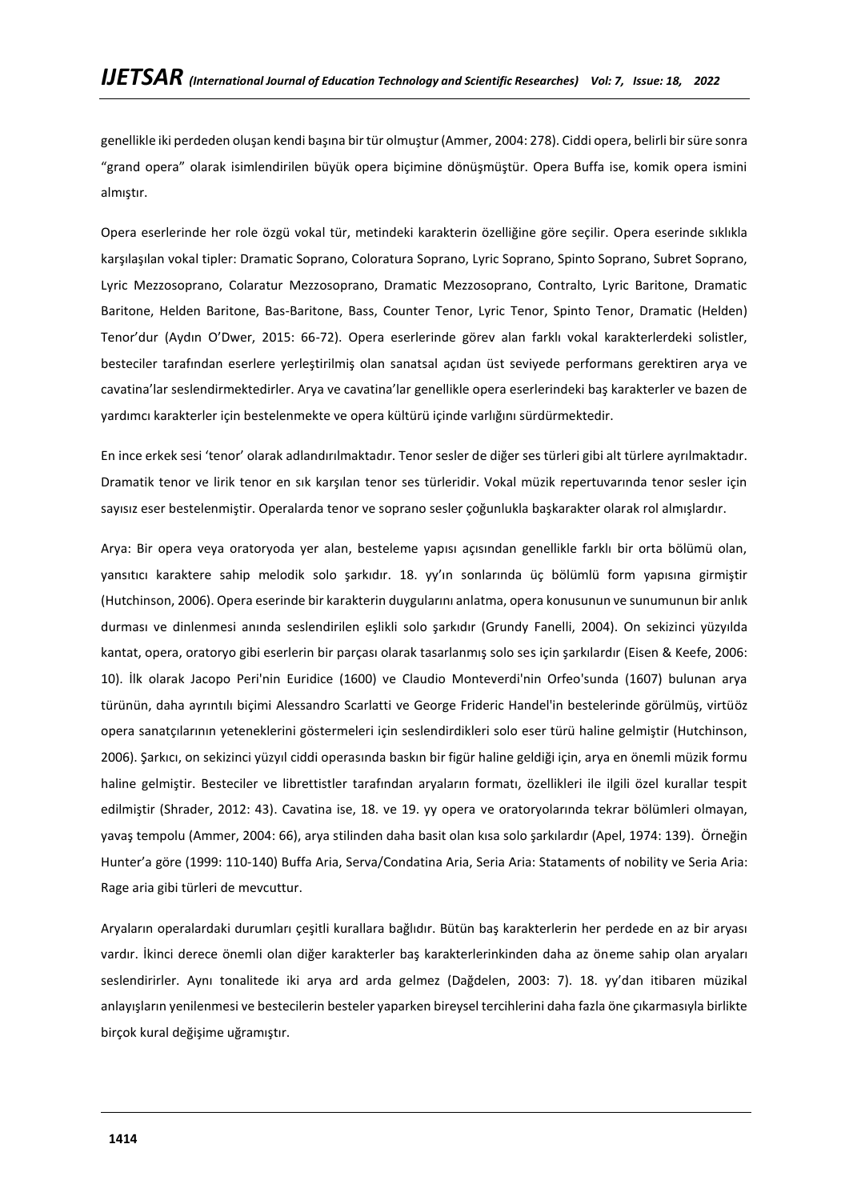genellikle iki perdeden oluşan kendi başına bir tür olmuştur (Ammer, 2004: 278). Ciddi opera, belirli bir süre sonra "grand opera" olarak isimlendirilen büyük opera biçimine dönüşmüştür. Opera Buffa ise, komik opera ismini almıştır.

Opera eserlerinde her role özgü vokal tür, metindeki karakterin özelliğine göre seçilir. Opera eserinde sıklıkla karşılaşılan vokal tipler: Dramatic Soprano, Coloratura Soprano, Lyric Soprano, Spinto Soprano, Subret Soprano, Lyric Mezzosoprano, Colaratur Mezzosoprano, Dramatic Mezzosoprano, Contralto, Lyric Baritone, Dramatic Baritone, Helden Baritone, Bas-Baritone, Bass, Counter Tenor, Lyric Tenor, Spinto Tenor, Dramatic (Helden) Tenor'dur (Aydın O'Dwer, 2015: 66-72). Opera eserlerinde görev alan farklı vokal karakterlerdeki solistler, besteciler tarafından eserlere yerleştirilmiş olan sanatsal açıdan üst seviyede performans gerektiren arya ve cavatina'lar seslendirmektedirler. Arya ve cavatina'lar genellikle opera eserlerindeki baş karakterler ve bazen de yardımcı karakterler için bestelenmekte ve opera kültürü içinde varlığını sürdürmektedir.

En ince erkek sesi 'tenor' olarak adlandırılmaktadır. Tenor sesler de diğer ses türleri gibi alt türlere ayrılmaktadır. Dramatik tenor ve lirik tenor en sık karşılan tenor ses türleridir. Vokal müzik repertuvarında tenor sesler için sayısız eser bestelenmiştir. Operalarda tenor ve soprano sesler çoğunlukla başkarakter olarak rol almışlardır.

Arya: Bir opera veya oratoryoda yer alan, besteleme yapısı açısından genellikle farklı bir orta bölümü olan, yansıtıcı karaktere sahip melodik solo şarkıdır. 18. yy'ın sonlarında üç bölümlü form yapısına girmiştir (Hutchinson, 2006). Opera eserinde bir karakterin duygularını anlatma, opera konusunun ve sunumunun bir anlık durması ve dinlenmesi anında seslendirilen eşlikli solo şarkıdır (Grundy Fanelli, 2004). On sekizinci yüzyılda kantat, opera, oratoryo gibi eserlerin bir parçası olarak tasarlanmış solo ses için şarkılardır (Eisen & Keefe, 2006: 10). İlk olarak Jacopo Peri'nin Euridice (1600) ve Claudio Monteverdi'nin Orfeo'sunda (1607) bulunan arya türünün, daha ayrıntılı biçimi Alessandro Scarlatti ve George Frideric Handel'in bestelerinde görülmüş, virtüöz opera sanatçılarının yeteneklerini göstermeleri için seslendirdikleri solo eser türü haline gelmiştir (Hutchinson, 2006). Şarkıcı, on sekizinci yüzyıl ciddi operasında baskın bir figür haline geldiği için, arya en önemli müzik formu haline gelmiştir. Besteciler ve librettistler tarafından aryaların formatı, özellikleri ile ilgili özel kurallar tespit edilmiştir (Shrader, 2012: 43). Cavatina ise, 18. ve 19. yy opera ve oratoryolarında tekrar bölümleri olmayan, yavaş tempolu (Ammer, 2004: 66), arya stilinden daha basit olan kısa solo şarkılardır (Apel, 1974: 139). Örneğin Hunter'a göre (1999: 110-140) Buffa Aria, Serva/Condatina Aria, Seria Aria: Stataments of nobility ve Seria Aria: Rage aria gibi türleri de mevcuttur.

Aryaların operalardaki durumları çeşitli kurallara bağlıdır. Bütün baş karakterlerin her perdede en az bir aryası vardır. İkinci derece önemli olan diğer karakterler baş karakterlerinkinden daha az öneme sahip olan aryaları seslendirirler. Aynı tonalitede iki arya ard arda gelmez (Dağdelen, 2003: 7). 18. yy'dan itibaren müzikal anlayışların yenilenmesi ve bestecilerin besteler yaparken bireysel tercihlerini daha fazla öne çıkarmasıyla birlikte birçok kural değişime uğramıştır.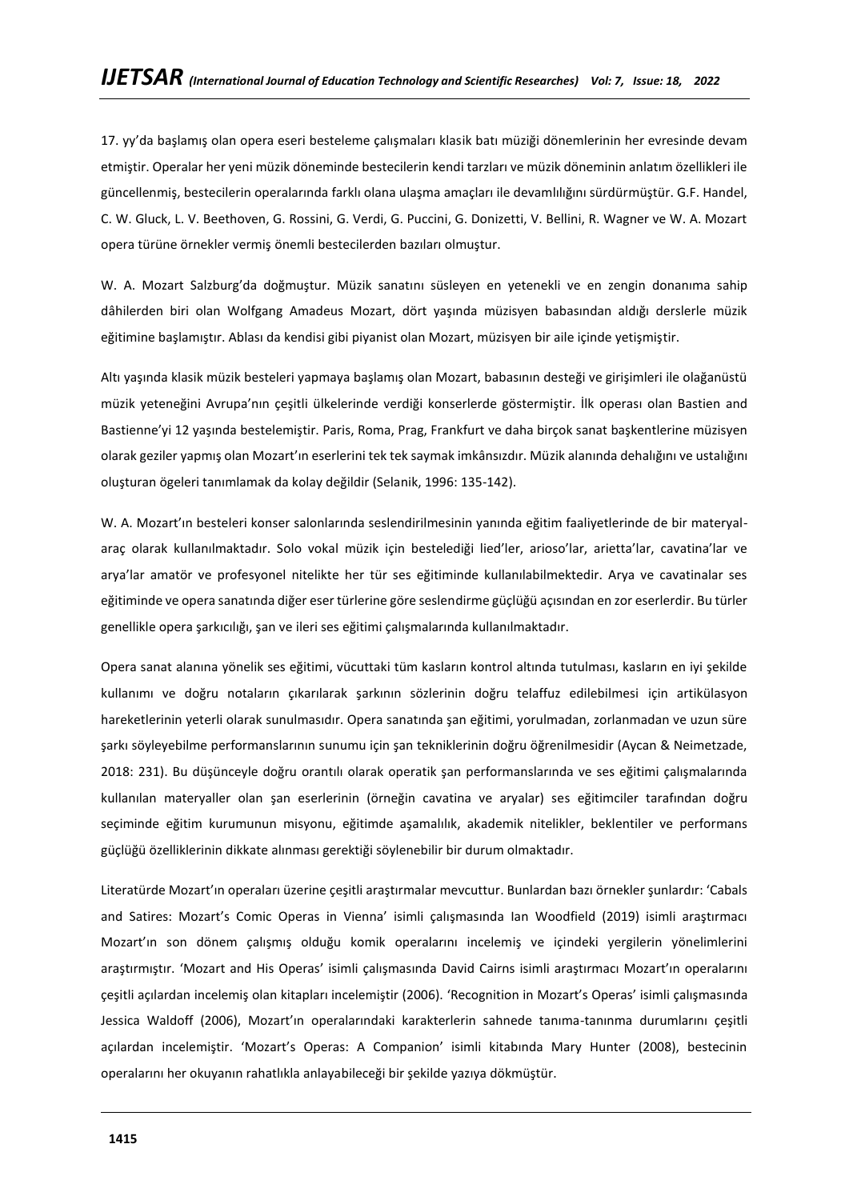17. yy'da başlamış olan opera eseri besteleme çalışmaları klasik batı müziği dönemlerinin her evresinde devam etmiştir. Operalar her yeni müzik döneminde bestecilerin kendi tarzları ve müzik döneminin anlatım özellikleri ile güncellenmiş, bestecilerin operalarında farklı olana ulaşma amaçları ile devamlılığını sürdürmüştür. G.F. Handel, C. W. Gluck, L. V. Beethoven, G. Rossini, G. Verdi, G. Puccini, G. Donizetti, V. Bellini, R. Wagner ve W. A. Mozart opera türüne örnekler vermiş önemli bestecilerden bazıları olmuştur.

W. A. Mozart Salzburg'da doğmuştur. Müzik sanatını süsleyen en yetenekli ve en zengin donanıma sahip dâhilerden biri olan Wolfgang Amadeus Mozart, dört yaşında müzisyen babasından aldığı derslerle müzik eğitimine başlamıştır. Ablası da kendisi gibi piyanist olan Mozart, müzisyen bir aile içinde yetişmiştir.

Altı yaşında klasik müzik besteleri yapmaya başlamış olan Mozart, babasının desteği ve girişimleri ile olağanüstü müzik yeteneğini Avrupa'nın çeşitli ülkelerinde verdiği konserlerde göstermiştir. İlk operası olan Bastien and Bastienne'yi 12 yaşında bestelemiştir. Paris, Roma, Prag, Frankfurt ve daha birçok sanat başkentlerine müzisyen olarak geziler yapmış olan Mozart'ın eserlerini tek tek saymak imkânsızdır. Müzik alanında dehalığını ve ustalığını oluşturan ögeleri tanımlamak da kolay değildir (Selanik, 1996: 135-142).

W. A. Mozart'ın besteleri konser salonlarında seslendirilmesinin yanında eğitim faaliyetlerinde de bir materyalaraç olarak kullanılmaktadır. Solo vokal müzik için bestelediği lied'ler, arioso'lar, arietta'lar, cavatina'lar ve arya'lar amatör ve profesyonel nitelikte her tür ses eğitiminde kullanılabilmektedir. Arya ve cavatinalar ses eğitiminde ve opera sanatında diğer eser türlerine göre seslendirme güçlüğü açısından en zor eserlerdir. Bu türler genellikle opera şarkıcılığı, şan ve ileri ses eğitimi çalışmalarında kullanılmaktadır.

Opera sanat alanına yönelik ses eğitimi, vücuttaki tüm kasların kontrol altında tutulması, kasların en iyi şekilde kullanımı ve doğru notaların çıkarılarak şarkının sözlerinin doğru telaffuz edilebilmesi için artikülasyon hareketlerinin yeterli olarak sunulmasıdır. Opera sanatında şan eğitimi, yorulmadan, zorlanmadan ve uzun süre şarkı söyleyebilme performanslarının sunumu için şan tekniklerinin doğru öğrenilmesidir (Aycan & Neimetzade, 2018: 231). Bu düşünceyle doğru orantılı olarak operatik şan performanslarında ve ses eğitimi çalışmalarında kullanılan materyaller olan şan eserlerinin (örneğin cavatina ve aryalar) ses eğitimciler tarafından doğru seçiminde eğitim kurumunun misyonu, eğitimde aşamalılık, akademik nitelikler, beklentiler ve performans güçlüğü özelliklerinin dikkate alınması gerektiği söylenebilir bir durum olmaktadır.

Literatürde Mozart'ın operaları üzerine çeşitli araştırmalar mevcuttur. Bunlardan bazı örnekler şunlardır: 'Cabals and Satires: Mozart's Comic Operas in Vienna' isimli çalışmasında Ian Woodfield (2019) isimli araştırmacı Mozart'ın son dönem çalışmış olduğu komik operalarını incelemiş ve içindeki yergilerin yönelimlerini araştırmıştır. 'Mozart and His Operas' isimli çalışmasında David Cairns isimli araştırmacı Mozart'ın operalarını çeşitli açılardan incelemiş olan kitapları incelemiştir (2006). 'Recognition in Mozart's Operas' isimli çalışmasında Jessica Waldoff (2006), Mozart'ın operalarındaki karakterlerin sahnede tanıma-tanınma durumlarını çeşitli açılardan incelemiştir. 'Mozart's Operas: A Companion' isimli kitabında Mary Hunter (2008), bestecinin operalarını her okuyanın rahatlıkla anlayabileceği bir şekilde yazıya dökmüştür.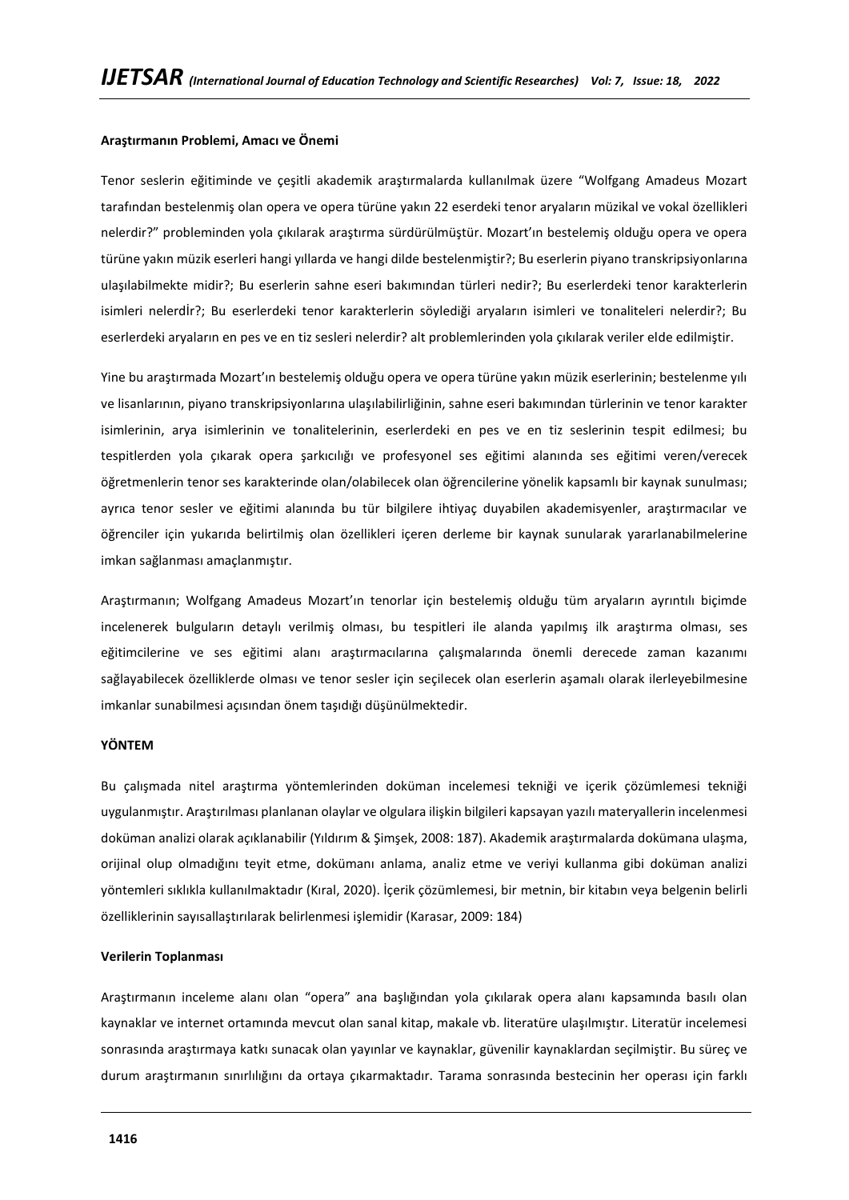### **Araştırmanın Problemi, Amacı ve Önemi**

Tenor seslerin eğitiminde ve çeşitli akademik araştırmalarda kullanılmak üzere "Wolfgang Amadeus Mozart tarafından bestelenmiş olan opera ve opera türüne yakın 22 eserdeki tenor aryaların müzikal ve vokal özellikleri nelerdir?" probleminden yola çıkılarak araştırma sürdürülmüştür. Mozart'ın bestelemiş olduğu opera ve opera türüne yakın müzik eserleri hangi yıllarda ve hangi dilde bestelenmiştir?; Bu eserlerin piyano transkripsiyonlarına ulaşılabilmekte midir?; Bu eserlerin sahne eseri bakımından türleri nedir?; Bu eserlerdeki tenor karakterlerin isimleri nelerdİr?; Bu eserlerdeki tenor karakterlerin söylediği aryaların isimleri ve tonaliteleri nelerdir?; Bu eserlerdeki aryaların en pes ve en tiz sesleri nelerdir? alt problemlerinden yola çıkılarak veriler elde edilmiştir.

Yine bu araştırmada Mozart'ın bestelemiş olduğu opera ve opera türüne yakın müzik eserlerinin; bestelenme yılı ve lisanlarının, piyano transkripsiyonlarına ulaşılabilirliğinin, sahne eseri bakımından türlerinin ve tenor karakter isimlerinin, arya isimlerinin ve tonalitelerinin, eserlerdeki en pes ve en tiz seslerinin tespit edilmesi; bu tespitlerden yola çıkarak opera şarkıcılığı ve profesyonel ses eğitimi alanında ses eğitimi veren/verecek öğretmenlerin tenor ses karakterinde olan/olabilecek olan öğrencilerine yönelik kapsamlı bir kaynak sunulması; ayrıca tenor sesler ve eğitimi alanında bu tür bilgilere ihtiyaç duyabilen akademisyenler, araştırmacılar ve öğrenciler için yukarıda belirtilmiş olan özellikleri içeren derleme bir kaynak sunularak yararlanabilmelerine imkan sağlanması amaçlanmıştır.

Araştırmanın; Wolfgang Amadeus Mozart'ın tenorlar için bestelemiş olduğu tüm aryaların ayrıntılı biçimde incelenerek bulguların detaylı verilmiş olması, bu tespitleri ile alanda yapılmış ilk araştırma olması, ses eğitimcilerine ve ses eğitimi alanı araştırmacılarına çalışmalarında önemli derecede zaman kazanımı sağlayabilecek özelliklerde olması ve tenor sesler için seçilecek olan eserlerin aşamalı olarak ilerleyebilmesine imkanlar sunabilmesi açısından önem taşıdığı düşünülmektedir.

### **YÖNTEM**

Bu çalışmada nitel araştırma yöntemlerinden doküman incelemesi tekniği ve içerik çözümlemesi tekniği uygulanmıştır. Araştırılması planlanan olaylar ve olgulara ilişkin bilgileri kapsayan yazılı materyallerin incelenmesi doküman analizi olarak açıklanabilir (Yıldırım & Şimşek, 2008: 187). Akademik araştırmalarda dokümana ulaşma, orijinal olup olmadığını teyit etme, dokümanı anlama, analiz etme ve veriyi kullanma gibi doküman analizi yöntemleri sıklıkla kullanılmaktadır (Kıral, 2020). İçerik çözümlemesi, bir metnin, bir kitabın veya belgenin belirli özelliklerinin sayısallaştırılarak belirlenmesi işlemidir (Karasar, 2009: 184)

#### **Verilerin Toplanması**

Araştırmanın inceleme alanı olan "opera" ana başlığından yola çıkılarak opera alanı kapsamında basılı olan kaynaklar ve internet ortamında mevcut olan sanal kitap, makale vb. literatüre ulaşılmıştır. Literatür incelemesi sonrasında araştırmaya katkı sunacak olan yayınlar ve kaynaklar, güvenilir kaynaklardan seçilmiştir. Bu süreç ve durum araştırmanın sınırlılığını da ortaya çıkarmaktadır. Tarama sonrasında bestecinin her operası için farklı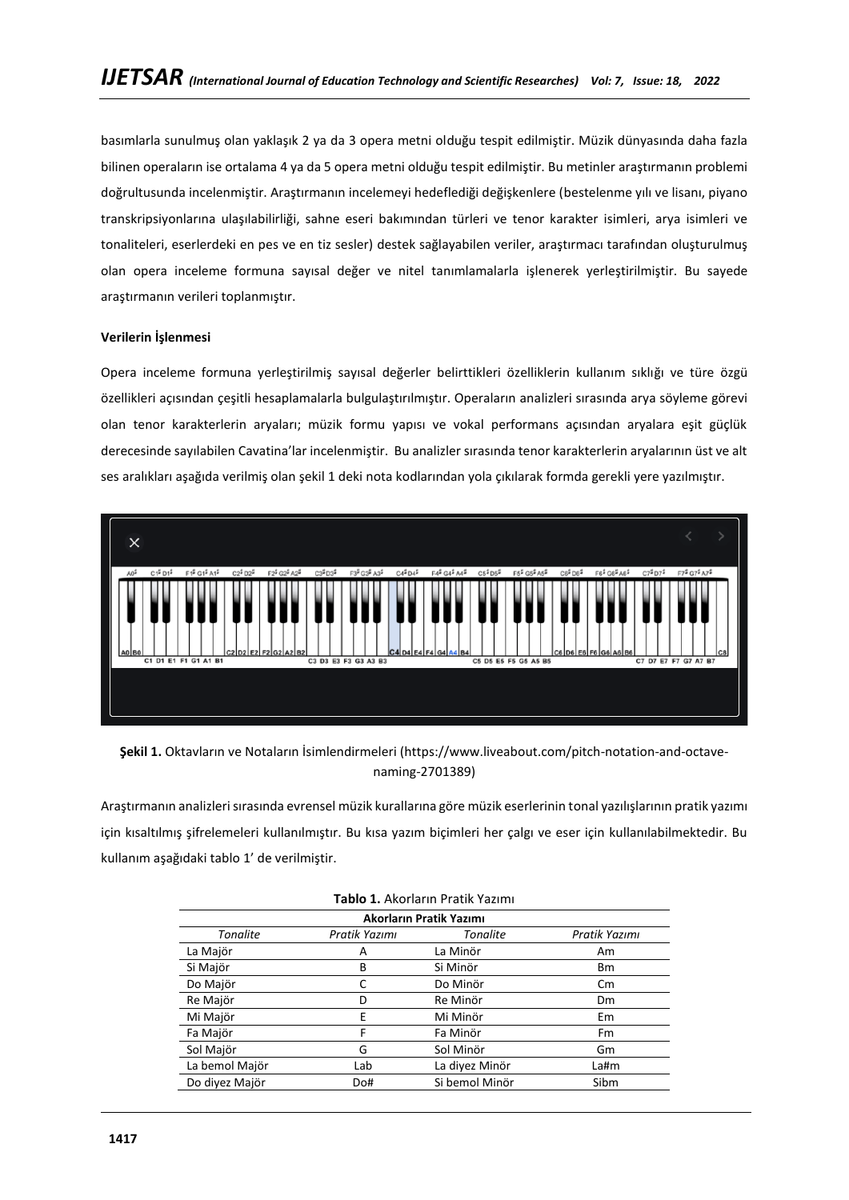basımlarla sunulmuş olan yaklaşık 2 ya da 3 opera metni olduğu tespit edilmiştir. Müzik dünyasında daha fazla bilinen operaların ise ortalama 4 ya da 5 opera metni olduğu tespit edilmiştir. Bu metinler araştırmanın problemi doğrultusunda incelenmiştir. Araştırmanın incelemeyi hedeflediği değişkenlere (bestelenme yılı ve lisanı, piyano transkripsiyonlarına ulaşılabilirliği, sahne eseri bakımından türleri ve tenor karakter isimleri, arya isimleri ve tonaliteleri, eserlerdeki en pes ve en tiz sesler) destek sağlayabilen veriler, araştırmacı tarafından oluşturulmuş olan opera inceleme formuna sayısal değer ve nitel tanımlamalarla işlenerek yerleştirilmiştir. Bu sayede araştırmanın verileri toplanmıştır.

# **Verilerin İşlenmesi**

Opera inceleme formuna yerleştirilmiş sayısal değerler belirttikleri özelliklerin kullanım sıklığı ve türe özgü özellikleri açısından çeşitli hesaplamalarla bulgulaştırılmıştır. Operaların analizleri sırasında arya söyleme görevi olan tenor karakterlerin aryaları; müzik formu yapısı ve vokal performans açısından aryalara eşit güçlük derecesinde sayılabilen Cavatina'lar incelenmiştir. Bu analizler sırasında tenor karakterlerin aryalarının üst ve alt ses aralıkları aşağıda verilmiş olan şekil 1 deki nota kodlarından yola çıkılarak formda gerekli yere yazılmıştır.



**Şekil 1.** Oktavların ve Notaların İsimlendirmeleri [\(https://www.liveabout.com/pitch-notation-and-octave](https://www.liveabout.com/pitch-notation-and-octave-naming-2701389)[naming-2701389\)](https://www.liveabout.com/pitch-notation-and-octave-naming-2701389)

Araştırmanın analizleri sırasında evrensel müzik kurallarına göre müzik eserlerinin tonal yazılışlarının pratik yazımı için kısaltılmış şifrelemeleri kullanılmıştır. Bu kısa yazım biçimleri her çalgı ve eser için kullanılabilmektedir. Bu kullanım aşağıdaki tablo 1' de verilmiştir.

| <b>Tablo 1.</b> Akorların Pratik Yazımı |               |                         |               |
|-----------------------------------------|---------------|-------------------------|---------------|
|                                         |               | Akorların Pratik Yazımı |               |
| <b>Tonalite</b>                         | Pratik Yazımı | <b>Tonalite</b>         | Pratik Yazımı |
| La Majör                                | А             | La Minör                | Am            |
| Si Majör                                | В             | Si Minör                | <b>Bm</b>     |
| Do Majör                                |               | Do Minör                | $\mathsf{cm}$ |
| Re Majör                                | D             | Re Minör                | <b>Dm</b>     |
| Mi Majör                                | E             | Mi Minör                | Em            |
| Fa Majör                                | F             | Fa Minör                | Fm            |
| Sol Majör                               | G             | Sol Minör               | Gm            |
| La bemol Majör                          | Lab           | La diyez Minör          | La#m          |
| Do diyez Majör                          | Do#           | Si bemol Minör          | Sibm          |

# **Tablo 1.** Akorların Pratik Yazımı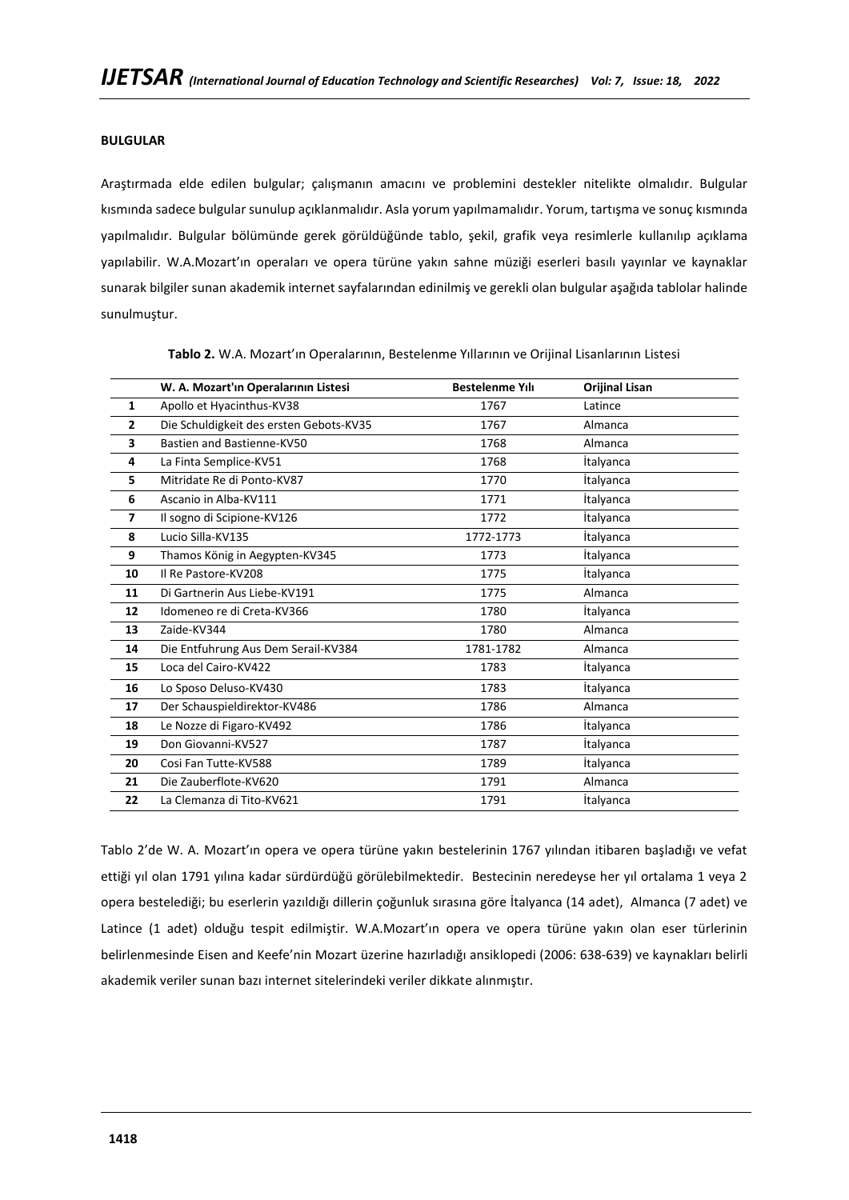# **BULGULAR**

Araştırmada elde edilen bulgular; çalışmanın amacını ve problemini destekler nitelikte olmalıdır. Bulgular kısmında sadece bulgular sunulup açıklanmalıdır. Asla yorum yapılmamalıdır. Yorum, tartışma ve sonuç kısmında yapılmalıdır. Bulgular bölümünde gerek görüldüğünde tablo, şekil, grafik veya resimlerle kullanılıp açıklama yapılabilir. W.A.Mozart'ın operaları ve opera türüne yakın sahne müziği eserleri basılı yayınlar ve kaynaklar sunarak bilgiler sunan akademik internet sayfalarından edinilmiş ve gerekli olan bulgular aşağıda tablolar halinde sunulmuştur.

|                | W. A. Mozart'ın Operalarının Listesi    | <b>Bestelenme Yılı</b> | <b>Orijinal Lisan</b> |
|----------------|-----------------------------------------|------------------------|-----------------------|
| 1              | Apollo et Hyacinthus-KV38               | 1767                   | Latince               |
| $\overline{2}$ | Die Schuldigkeit des ersten Gebots-KV35 | 1767                   | Almanca               |
| 3              | Bastien and Bastienne-KV50              | 1768                   | Almanca               |
| 4              | La Finta Semplice-KV51                  | 1768                   | <i>italyanca</i>      |
| 5              | Mitridate Re di Ponto-KV87              | 1770                   | <i>italyanca</i>      |
| 6              | Ascanio in Alba-KV111                   | 1771                   | <i>italyanca</i>      |
| $\overline{ }$ | Il sogno di Scipione-KV126              | 1772                   | <i>italyanca</i>      |
| 8              | Lucio Silla-KV135                       | 1772-1773              | <i>italyanca</i>      |
| 9              | Thamos König in Aegypten-KV345          | 1773                   | <i>italyanca</i>      |
| 10             | Il Re Pastore-KV208                     | 1775                   | <i>italyanca</i>      |
| 11             | Di Gartnerin Aus Liebe-KV191            | 1775                   | Almanca               |
| 12             | Idomeneo re di Creta-KV366              | 1780                   | <b>Italyanca</b>      |
| 13             | Zaide-KV344                             | 1780                   | Almanca               |
| 14             | Die Entfuhrung Aus Dem Serail-KV384     | 1781-1782              | Almanca               |
| 15             | Loca del Cairo-KV422                    | 1783                   | <i>italyanca</i>      |
| 16             | Lo Sposo Deluso-KV430                   | 1783                   | <i>italyanca</i>      |
| 17             | Der Schauspieldirektor-KV486            | 1786                   | Almanca               |
| 18             | Le Nozze di Figaro-KV492                | 1786                   | <i>italyanca</i>      |
| 19             | Don Giovanni-KV527                      | 1787                   | <i>italyanca</i>      |
| 20             | Cosi Fan Tutte-KV588                    | 1789                   | <i>italyanca</i>      |
| 21             | Die Zauberflote-KV620                   | 1791                   | Almanca               |
| 22             | La Clemanza di Tito-KV621               | 1791                   | <i>italyanca</i>      |

**Tablo 2.** W.A. Mozart'ın Operalarının, Bestelenme Yıllarının ve Orijinal Lisanlarının Listesi

Tablo 2'de W. A. Mozart'ın opera ve opera türüne yakın bestelerinin 1767 yılından itibaren başladığı ve vefat ettiği yıl olan 1791 yılına kadar sürdürdüğü görülebilmektedir. Bestecinin neredeyse her yıl ortalama 1 veya 2 opera bestelediği; bu eserlerin yazıldığı dillerin çoğunluk sırasına göre İtalyanca (14 adet), Almanca (7 adet) ve Latince (1 adet) olduğu tespit edilmiştir. W.A.Mozart'ın opera ve opera türüne yakın olan eser türlerinin belirlenmesinde Eisen and Keefe'nin Mozart üzerine hazırladığı ansiklopedi (2006: 638-639) ve kaynakları belirli akademik veriler sunan bazı internet sitelerindeki veriler dikkate alınmıştır.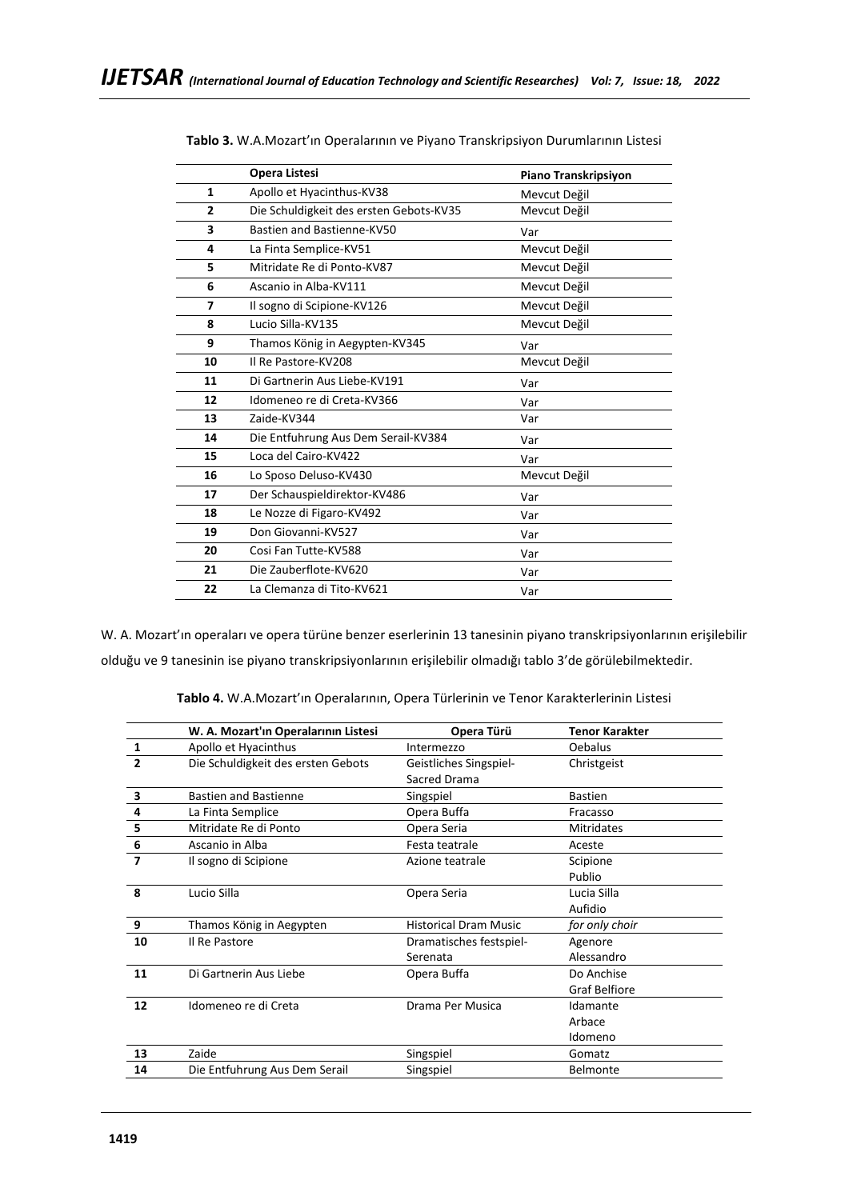|                | <b>Opera Listesi</b>                    | Piano Transkripsiyon |
|----------------|-----------------------------------------|----------------------|
| $\mathbf{1}$   | Apollo et Hyacinthus-KV38               | Mevcut Değil         |
| $\overline{2}$ | Die Schuldigkeit des ersten Gebots-KV35 | Mevcut Değil         |
| 3              | Bastien and Bastienne-KV50              | Var                  |
| 4              | La Finta Semplice-KV51                  | Mevcut Değil         |
| 5              | Mitridate Re di Ponto-KV87              | Mevcut Değil         |
| 6              | Ascanio in Alba-KV111                   | Mevcut Değil         |
| 7              | Il sogno di Scipione-KV126              | Mevcut Değil         |
| 8              | Lucio Silla-KV135                       | Mevcut Değil         |
| 9              | Thamos König in Aegypten-KV345          | Var                  |
| 10             | Il Re Pastore-KV208                     | Mevcut Değil         |
| 11             | Di Gartnerin Aus Liebe-KV191            | Var                  |
| 12             | Idomeneo re di Creta-KV366              | Var                  |
| 13             | Zaide-KV344                             | Var                  |
| 14             | Die Entfuhrung Aus Dem Serail-KV384     | Var                  |
| 15             | Loca del Cairo-KV422                    | Var                  |
| 16             | Lo Sposo Deluso-KV430                   | Mevcut Değil         |
| 17             | Der Schauspieldirektor-KV486            | Var                  |
| 18             | Le Nozze di Figaro-KV492                | Var                  |
| 19             | Don Giovanni-KV527                      | Var                  |
| 20             | Cosi Fan Tutte-KV588                    | Var                  |
| 21             | Die Zauberflote-KV620                   | Var                  |
| 22             | La Clemanza di Tito-KV621               | Var                  |
|                |                                         |                      |

W. A. Mozart'ın operaları ve opera türüne benzer eserlerinin 13 tanesinin piyano transkripsiyonlarının erişilebilir olduğu ve 9 tanesinin ise piyano transkripsiyonlarının erişilebilir olmadığı tablo 3'de görülebilmektedir.

**Tablo 4.** W.A.Mozart'ın Operalarının, Opera Türlerinin ve Tenor Karakterlerinin Listesi

|                | W. A. Mozart'ın Operalarının Listesi | Opera Türü                   | <b>Tenor Karakter</b> |
|----------------|--------------------------------------|------------------------------|-----------------------|
| 1              | Apollo et Hyacinthus                 | Intermezzo                   | Oebalus               |
| $\overline{2}$ | Die Schuldigkeit des ersten Gebots   | Geistliches Singspiel-       | Christgeist           |
|                |                                      | Sacred Drama                 |                       |
| 3              | <b>Bastien and Bastienne</b>         | Singspiel                    | <b>Bastien</b>        |
| 4              | La Finta Semplice                    | Opera Buffa                  | Fracasso              |
| 5              | Mitridate Re di Ponto                | Opera Seria                  | <b>Mitridates</b>     |
| 6              | Ascanio in Alba                      | Festa teatrale               | Aceste                |
| 7              | Il sogno di Scipione                 | Azione teatrale              | Scipione              |
|                |                                      |                              | Publio                |
| 8              | Lucio Silla                          | Opera Seria                  | Lucia Silla           |
|                |                                      |                              | Aufidio               |
| 9              | Thamos König in Aegypten             | <b>Historical Dram Music</b> | for only choir        |
| 10             | Il Re Pastore                        | Dramatisches festspiel-      | Agenore               |
|                |                                      | Serenata                     | Alessandro            |
| 11             | Di Gartnerin Aus Liebe               | Opera Buffa                  | Do Anchise            |
|                |                                      |                              | <b>Graf Belfiore</b>  |
| 12             | Idomeneo re di Creta                 | Drama Per Musica             | Idamante              |
|                |                                      |                              | Arbace                |
|                |                                      |                              | Idomeno               |
| 13             | Zaide                                | Singspiel                    | Gomatz                |
| 14             | Die Entfuhrung Aus Dem Serail        | Singspiel                    | <b>Belmonte</b>       |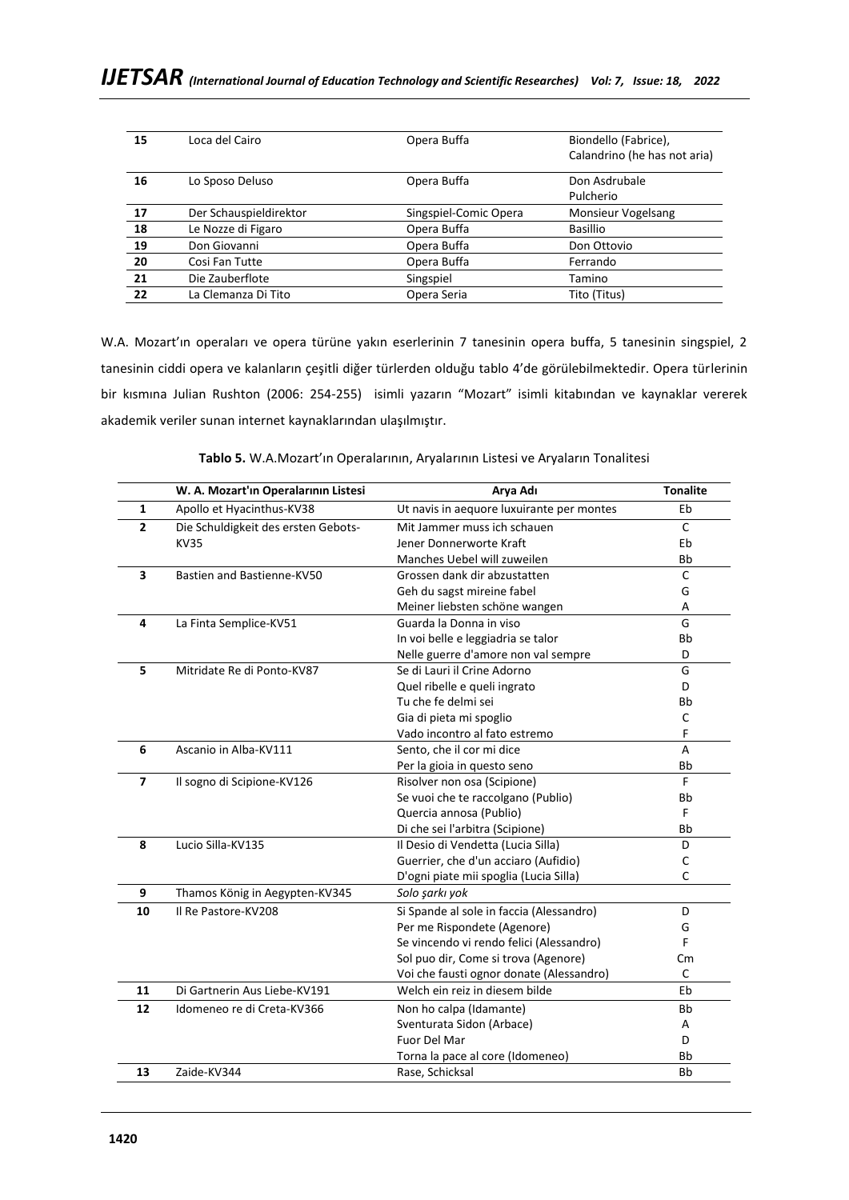| 15 | Loca del Cairo         | Opera Buffa           | Biondello (Fabrice),<br>Calandrino (he has not aria) |
|----|------------------------|-----------------------|------------------------------------------------------|
|    |                        |                       |                                                      |
| 16 | Lo Sposo Deluso        | Opera Buffa           | Don Asdrubale                                        |
|    |                        |                       | Pulcherio                                            |
| 17 | Der Schauspieldirektor | Singspiel-Comic Opera | Monsieur Vogelsang                                   |
| 18 | Le Nozze di Figaro     | Opera Buffa           | <b>Basillio</b>                                      |
| 19 | Don Giovanni           | Opera Buffa           | Don Ottovio                                          |
| 20 | Cosi Fan Tutte         | Opera Buffa           | Ferrando                                             |
| 21 | Die Zauberflote        | Singspiel             | Tamino                                               |
| 22 | La Clemanza Di Tito    | Opera Seria           | Tito (Titus)                                         |
|    |                        |                       |                                                      |

W.A. Mozart'ın operaları ve opera türüne yakın eserlerinin 7 tanesinin opera buffa, 5 tanesinin singspiel, 2 tanesinin ciddi opera ve kalanların çeşitli diğer türlerden olduğu tablo 4'de görülebilmektedir. Opera türlerinin bir kısmına Julian Rushton (2006: 254-255) isimli yazarın "Mozart" isimli kitabından ve kaynaklar vererek akademik veriler sunan internet kaynaklarından ulaşılmıştır.

|                | W. A. Mozart'ın Operalarının Listesi | Arya Adı                                  | <b>Tonalite</b> |
|----------------|--------------------------------------|-------------------------------------------|-----------------|
| 1              | Apollo et Hyacinthus-KV38            | Ut navis in aequore luxuirante per montes | Eb              |
| $\overline{2}$ | Die Schuldigkeit des ersten Gebots-  | Mit Jammer muss ich schauen               | $\mathsf{C}$    |
|                | KV35                                 | Jener Donnerworte Kraft                   | Eb              |
|                |                                      | Manches Uebel will zuweilen               | Bb              |
| 3              | Bastien and Bastienne-KV50           | Grossen dank dir abzustatten              | $\mathsf{C}$    |
|                |                                      | Geh du sagst mireine fabel                | G               |
|                |                                      | Meiner liebsten schöne wangen             | А               |
| 4              | La Finta Semplice-KV51               | Guarda la Donna in viso                   | G               |
|                |                                      | In voi belle e leggiadria se talor        | Bb              |
|                |                                      | Nelle guerre d'amore non val sempre       | D               |
| 5              | Mitridate Re di Ponto-KV87           | Se di Lauri il Crine Adorno               | G               |
|                |                                      | Quel ribelle e queli ingrato              | D               |
|                |                                      | Tu che fe delmi sei                       | Bb              |
|                |                                      | Gia di pieta mi spoglio                   | C               |
|                |                                      | Vado incontro al fato estremo             | F               |
| 6              | Ascanio in Alba-KV111                | Sento, che il cor mi dice                 | A               |
|                |                                      | Per la gioia in questo seno               | Bb              |
| $\overline{ }$ | Il sogno di Scipione-KV126           | Risolver non osa (Scipione)               | F.              |
|                |                                      | Se vuoi che te raccolgano (Publio)        | Bb              |
|                |                                      | Quercia annosa (Publio)                   | F               |
|                |                                      | Di che sei l'arbitra (Scipione)           | <b>Bb</b>       |
| 8              | Lucio Silla-KV135                    | Il Desio di Vendetta (Lucia Silla)        | D               |
|                |                                      | Guerrier, che d'un acciaro (Aufidio)      | C               |
|                |                                      | D'ogni piate mii spoglia (Lucia Silla)    | $\mathsf{C}$    |
| 9              | Thamos König in Aegypten-KV345       | Solo şarkı yok                            |                 |
| 10             | Il Re Pastore-KV208                  | Si Spande al sole in faccia (Alessandro)  | D               |
|                |                                      | Per me Rispondete (Agenore)               | G               |
|                |                                      | Se vincendo vi rendo felici (Alessandro)  | F.              |
|                |                                      | Sol puo dir, Come si trova (Agenore)      | Cm              |
|                |                                      | Voi che fausti ognor donate (Alessandro)  | C               |
| 11             | Di Gartnerin Aus Liebe-KV191         | Welch ein reiz in diesem bilde            | Eb              |
| 12             | Idomeneo re di Creta-KV366           | Non ho calpa (Idamante)                   | Bb              |
|                |                                      | Sventurata Sidon (Arbace)                 | A               |
|                |                                      | Fuor Del Mar                              | D               |
|                |                                      | Torna la pace al core (Idomeneo)          | Bb              |
| 13             | Zaide-KV344                          | Rase, Schicksal                           | <b>Bb</b>       |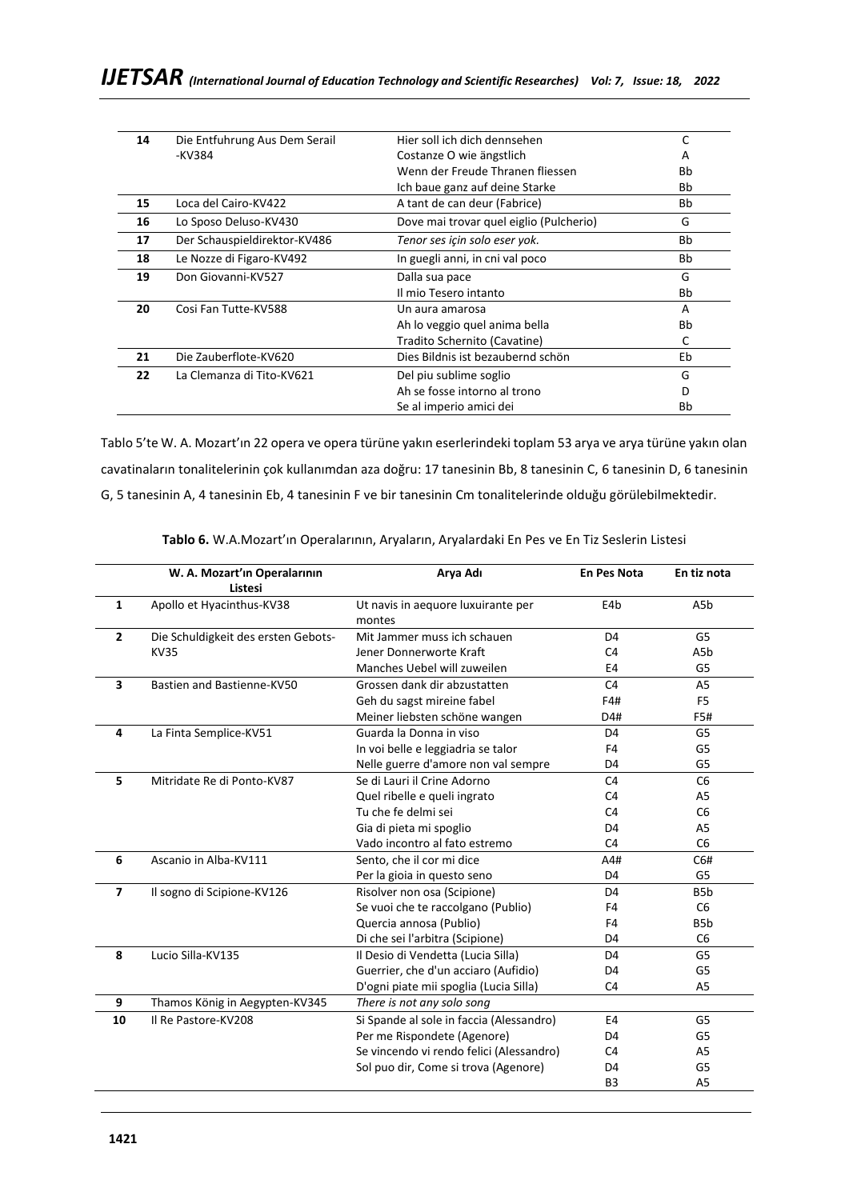| 14 | Die Entfuhrung Aus Dem Serail | Hier soll ich dich dennsehen            | C         |
|----|-------------------------------|-----------------------------------------|-----------|
|    | -KV384                        | Costanze O wie ängstlich                | A         |
|    |                               | Wenn der Freude Thranen fliessen        | <b>Bb</b> |
|    |                               | Ich baue ganz auf deine Starke          | Bb        |
| 15 | Loca del Cairo-KV422          | A tant de can deur (Fabrice)            | Bb        |
| 16 | Lo Sposo Deluso-KV430         | Dove mai trovar quel eiglio (Pulcherio) | G         |
| 17 | Der Schauspieldirektor-KV486  | Tenor ses için solo eser yok.           | Bb        |
| 18 | Le Nozze di Figaro-KV492      | In guegli anni, in cni val poco         | Bb        |
| 19 | Don Giovanni-KV527            | Dalla sua pace                          | G         |
|    |                               | Il mio Tesero intanto                   | Bb        |
| 20 | Cosi Fan Tutte-KV588          | Un aura amarosa                         | A         |
|    |                               | Ah lo veggio quel anima bella           | Bb        |
|    |                               | Tradito Schernito (Cavatine)            | C         |
| 21 | Die Zauberflote-KV620         | Dies Bildnis ist bezaubernd schön       | Eb        |
| 22 | La Clemanza di Tito-KV621     | Del piu sublime soglio                  | G         |
|    |                               | Ah se fosse intorno al trono            | D         |
|    |                               | Se al imperio amici dei                 | Bb        |

Tablo 5'te W. A. Mozart'ın 22 opera ve opera türüne yakın eserlerindeki toplam 53 arya ve arya türüne yakın olan cavatinaların tonalitelerinin çok kullanımdan aza doğru: 17 tanesinin Bb, 8 tanesinin C, 6 tanesinin D, 6 tanesinin G, 5 tanesinin A, 4 tanesinin Eb, 4 tanesinin F ve bir tanesinin Cm tonalitelerinde olduğu görülebilmektedir.

|                | W. A. Mozart'ın Operalarının<br><b>Listesi</b> | Arya Adı                                     | <b>En Pes Nota</b> | En tiz nota      |
|----------------|------------------------------------------------|----------------------------------------------|--------------------|------------------|
| $\mathbf{1}$   | Apollo et Hyacinthus-KV38                      | Ut navis in aequore luxuirante per<br>montes | E4b                | A5b              |
| $\overline{2}$ | Die Schuldigkeit des ersten Gebots-            | Mit Jammer muss ich schauen                  | D <sub>4</sub>     | G5               |
|                | <b>KV35</b>                                    | Jener Donnerworte Kraft                      | C <sub>4</sub>     | A5b              |
|                |                                                | Manches Uebel will zuweilen                  | E4                 | G5               |
| 3              | Bastien and Bastienne-KV50                     | Grossen dank dir abzustatten                 | C <sub>4</sub>     | A <sub>5</sub>   |
|                |                                                | Geh du sagst mireine fabel                   | F4#                | F <sub>5</sub>   |
|                |                                                | Meiner liebsten schöne wangen                | D4#                | F5#              |
| 4              | La Finta Semplice-KV51                         | Guarda la Donna in viso                      | D <sub>4</sub>     | G5               |
|                |                                                | In voi belle e leggiadria se talor           | F4                 | G5               |
|                |                                                | Nelle guerre d'amore non val sempre          | D <sub>4</sub>     | G5               |
| 5              | Mitridate Re di Ponto-KV87                     | Se di Lauri il Crine Adorno                  | C <sub>4</sub>     | C <sub>6</sub>   |
|                |                                                | Quel ribelle e queli ingrato                 | C <sub>4</sub>     | A <sub>5</sub>   |
|                |                                                | Tu che fe delmi sei                          | C <sub>4</sub>     | C <sub>6</sub>   |
|                |                                                | Gia di pieta mi spoglio                      | D4                 | A5               |
|                |                                                | Vado incontro al fato estremo                | C <sub>4</sub>     | C <sub>6</sub>   |
| 6              | Ascanio in Alba-KV111                          | Sento, che il cor mi dice                    | A4#                | C6#              |
|                |                                                | Per la gioia in questo seno                  | D <sub>4</sub>     | G5               |
| $\overline{7}$ | Il sogno di Scipione-KV126                     | Risolver non osa (Scipione)                  | D <sub>4</sub>     | B <sub>5</sub> b |
|                |                                                | Se vuoi che te raccolgano (Publio)           | F4                 | C <sub>6</sub>   |
|                |                                                | Quercia annosa (Publio)                      | F4                 | B <sub>5</sub> b |
|                |                                                | Di che sei l'arbitra (Scipione)              | D4                 | C <sub>6</sub>   |
| 8              | Lucio Silla-KV135                              | Il Desio di Vendetta (Lucia Silla)           | D <sub>4</sub>     | G5               |
|                |                                                | Guerrier, che d'un acciaro (Aufidio)         | D <sub>4</sub>     | G5               |
|                |                                                | D'ogni piate mii spoglia (Lucia Silla)       | C <sub>4</sub>     | A <sub>5</sub>   |
| 9              | Thamos König in Aegypten-KV345                 | There is not any solo song                   |                    |                  |
| 10             | Il Re Pastore-KV208                            | Si Spande al sole in faccia (Alessandro)     | E4                 | G5               |
|                |                                                | Per me Rispondete (Agenore)                  | D4                 | G5               |
|                |                                                | Se vincendo vi rendo felici (Alessandro)     | C <sub>4</sub>     | A5               |
|                |                                                | Sol puo dir, Come si trova (Agenore)         | D <sub>4</sub>     | G5               |
|                |                                                |                                              | B <sub>3</sub>     | A5               |

**Tablo 6.** W.A.Mozart'ın Operalarının, Aryaların, Aryalardaki En Pes ve En Tiz Seslerin Listesi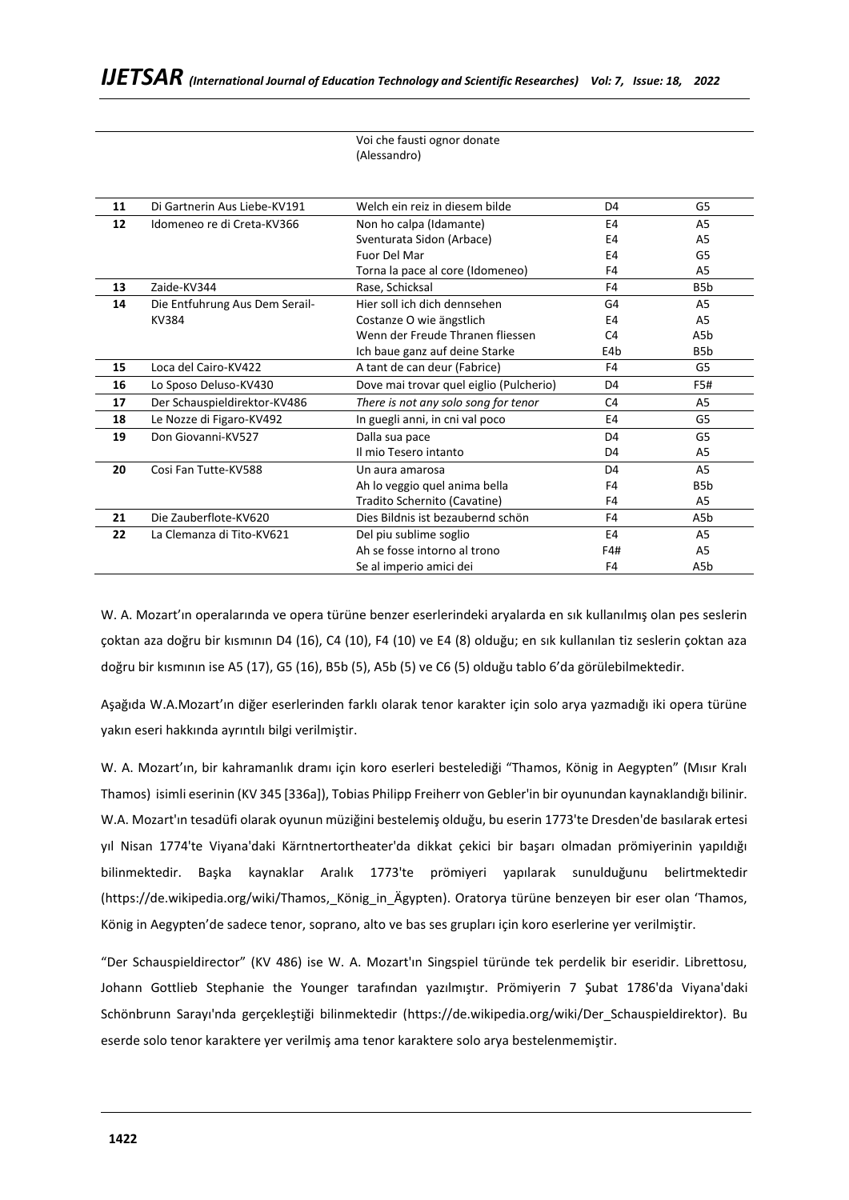|    |                                | Voi che fausti ognor donate             |                |                  |
|----|--------------------------------|-----------------------------------------|----------------|------------------|
|    |                                | (Alessandro)                            |                |                  |
|    |                                |                                         |                |                  |
|    |                                |                                         |                |                  |
| 11 | Di Gartnerin Aus Liebe-KV191   | Welch ein reiz in diesem bilde          | D <sub>4</sub> | G5               |
| 12 | Idomeneo re di Creta-KV366     | Non ho calpa (Idamante)                 | E4             | A <sub>5</sub>   |
|    |                                | Sventurata Sidon (Arbace)               | E4             | A <sub>5</sub>   |
|    |                                | Fuor Del Mar                            | E4             | G5               |
|    |                                | Torna la pace al core (Idomeneo)        | F4             | A5               |
| 13 | Zaide-KV344                    | Rase, Schicksal                         | F4             | B <sub>5</sub> b |
| 14 | Die Entfuhrung Aus Dem Serail- | Hier soll ich dich dennsehen            | G <sub>4</sub> | A <sub>5</sub>   |
|    | KV384                          | Costanze O wie ängstlich                | E4             | A5               |
|    |                                | Wenn der Freude Thranen fliessen        | C <sub>4</sub> | A5b              |
|    |                                | Ich baue ganz auf deine Starke          | E4b            | B <sub>5</sub> b |
| 15 | Loca del Cairo-KV422           | A tant de can deur (Fabrice)            | F4             | G5               |
| 16 | Lo Sposo Deluso-KV430          | Dove mai trovar quel eiglio (Pulcherio) | D <sub>4</sub> | F5#              |
| 17 | Der Schauspieldirektor-KV486   | There is not any solo song for tenor    | C <sub>4</sub> | A5               |
| 18 | Le Nozze di Figaro-KV492       | In guegli anni, in cni val poco         | E4             | G5               |
| 19 | Don Giovanni-KV527             | Dalla sua pace                          | D <sub>4</sub> | G5               |
|    |                                | Il mio Tesero intanto                   | D4             | A5               |
| 20 | Cosi Fan Tutte-KV588           | Un aura amarosa                         | D <sub>4</sub> | A <sub>5</sub>   |
|    |                                | Ah lo veggio quel anima bella           | F4             | B <sub>5</sub> b |
|    |                                | Tradito Schernito (Cavatine)            | F4             | A5               |
| 21 | Die Zauberflote-KV620          | Dies Bildnis ist bezaubernd schön       | F4             | A5b              |
| 22 | La Clemanza di Tito-KV621      | Del piu sublime soglio                  | E4             | A5               |
|    |                                | Ah se fosse intorno al trono            | F4#            | A5               |
|    |                                | Se al imperio amici dei                 | F <sub>4</sub> | A5b              |

W. A. Mozart'ın operalarında ve opera türüne benzer eserlerindeki aryalarda en sık kullanılmış olan pes seslerin çoktan aza doğru bir kısmının D4 (16), C4 (10), F4 (10) ve E4 (8) olduğu; en sık kullanılan tiz seslerin çoktan aza doğru bir kısmının ise A5 (17), G5 (16), B5b (5), A5b (5) ve C6 (5) olduğu tablo 6'da görülebilmektedir.

Aşağıda W.A.Mozart'ın diğer eserlerinden farklı olarak tenor karakter için solo arya yazmadığı iki opera türüne yakın eseri hakkında ayrıntılı bilgi verilmiştir.

W. A. Mozart'ın, bir kahramanlık dramı için koro eserleri bestelediği "Thamos, König in Aegypten" (Mısır Kralı Thamos) isimli eserinin (KV 345 [336a]), Tobias Philipp Freiherr von Gebler'in bir oyunundan kaynaklandığı bilinir. W.A. Mozart'ın tesadüfi olarak oyunun müziğini bestelemiş olduğu, bu eserin 1773'te Dresden'de basılarak ertesi yıl Nisan 1774'te Viyana'daki Kärntnertortheater'da dikkat çekici bir başarı olmadan prömiyerinin yapıldığı bilinmektedir. Başka kaynaklar Aralık 1773'te prömiyeri yapılarak sunulduğunu belirtmektedir ([https://de.wikipedia.org/wiki/Thamos,\\_König\\_in\\_Ägypten\)](https://de.wikipedia.org/wiki/Thamos,_K%C3%B6nig_in_%C3%84gypten). Oratorya türüne benzeyen bir eser olan 'Thamos, König in Aegypten'de sadece tenor, soprano, alto ve bas ses grupları için koro eserlerine yer verilmiştir.

"Der Schauspieldirector" (KV 486) ise W. A. Mozart'ın Singspiel türünde tek perdelik bir eseridir. Librettosu, Johann Gottlieb Stephanie the Younger tarafından yazılmıştır. Prömiyerin 7 Şubat 1786'da Viyana'daki Schönbrunn Sarayı'nda gerçekleştiği bilinmektedir ([https://de.wikipedia.org/wiki/Der\\_Schauspieldirektor\)](https://de.wikipedia.org/wiki/Der_Schauspieldirektor). Bu eserde solo tenor karaktere yer verilmiş ama tenor karaktere solo arya bestelenmemiştir.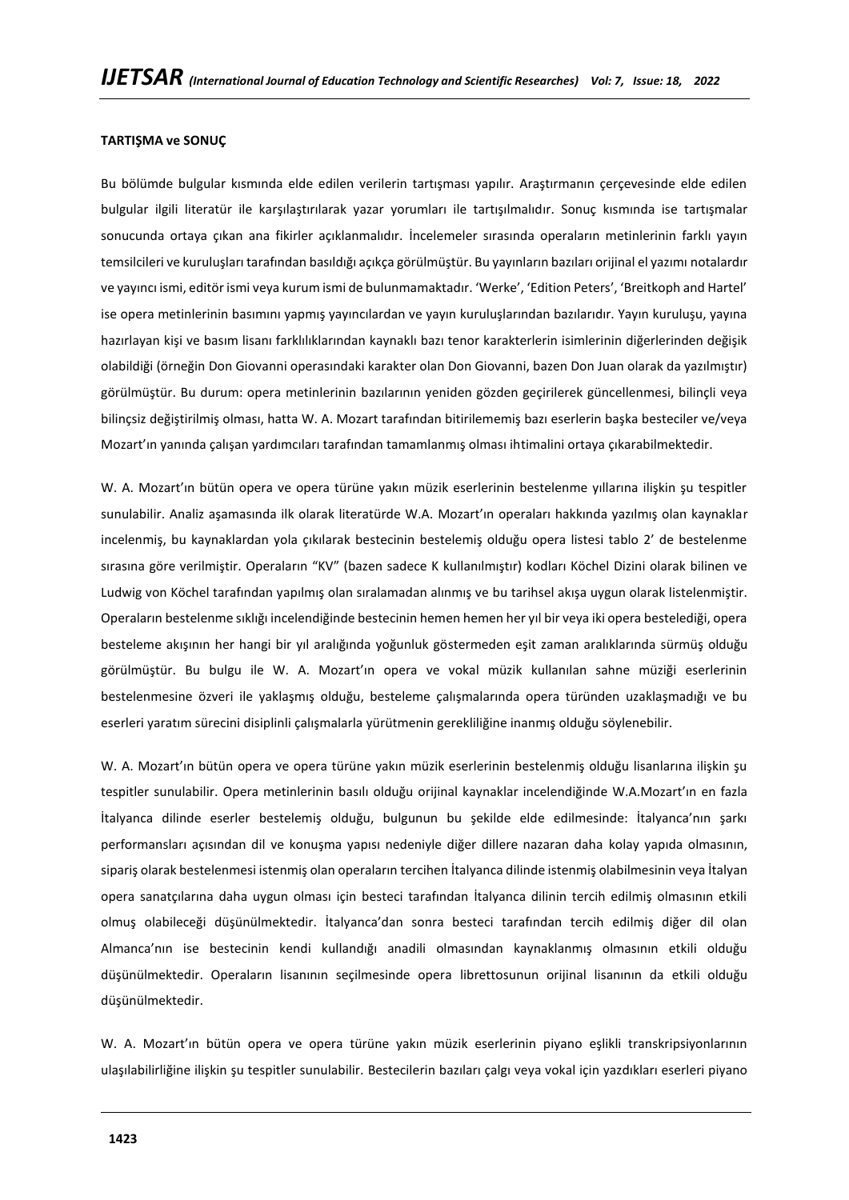### **TARTIŞMA ve SONUÇ**

Bu bölümde bulgular kısmında elde edilen verilerin tartışması yapılır. Araştırmanın çerçevesinde elde edilen bulgular ilgili literatür ile karşılaştırılarak yazar yorumları ile tartışılmalıdır. Sonuç kısmında ise tartışmalar sonucunda ortaya çıkan ana fikirler açıklanmalıdır. İncelemeler sırasında operaların metinlerinin farklı yayın temsilcileri ve kuruluşları tarafından basıldığı açıkça görülmüştür. Bu yayınların bazıları orijinal el yazımı notalardır ve yayıncı ismi, editör ismi veya kurum ismi de bulunmamaktadır. 'Werke', 'Edition Peters', 'Breitkoph and Hartel' ise opera metinlerinin basımını yapmış yayıncılardan ve yayın kuruluşlarından bazılarıdır. Yayın kuruluşu, yayına hazırlayan kişi ve basım lisanı farklılıklarından kaynaklı bazı tenor karakterlerin isimlerinin diğerlerinden değişik olabildiği (örneğin Don Giovanni operasındaki karakter olan Don Giovanni, bazen Don Juan olarak da yazılmıştır) görülmüştür. Bu durum: opera metinlerinin bazılarının yeniden gözden geçirilerek güncellenmesi, bilinçli veya bilinçsiz değiştirilmiş olması, hatta W. A. Mozart tarafından bitirilememiş bazı eserlerin başka besteciler ve/veya Mozart'ın yanında çalışan yardımcıları tarafından tamamlanmış olması ihtimalini ortaya çıkarabilmektedir.

W. A. Mozart'ın bütün opera ve opera türüne yakın müzik eserlerinin bestelenme yıllarına ilişkin şu tespitler sunulabilir. Analiz aşamasında ilk olarak literatürde W.A. Mozart'ın operaları hakkında yazılmış olan kaynaklar incelenmiş, bu kaynaklardan yola çıkılarak bestecinin bestelemiş olduğu opera listesi tablo 2' de bestelenme sırasına göre verilmiştir. Operaların "KV" (bazen sadece K kullanılmıştır) kodları Köchel Dizini olarak bilinen ve Ludwig von Köchel tarafından yapılmış olan sıralamadan alınmış ve bu tarihsel akışa uygun olarak listelenmiştir. Operaların bestelenme sıklığı incelendiğinde bestecinin hemen hemen her yıl bir veya iki opera bestelediği, opera besteleme akışının her hangi bir yıl aralığında yoğunluk göstermeden eşit zaman aralıklarında sürmüş olduğu görülmüştür. Bu bulgu ile W. A. Mozart'ın opera ve vokal müzik kullanılan sahne müziği eserlerinin bestelenmesine özveri ile yaklaşmış olduğu, besteleme çalışmalarında opera türünden uzaklaşmadığı ve bu eserleri yaratım sürecini disiplinli çalışmalarla yürütmenin gerekliliğine inanmış olduğu söylenebilir.

W. A. Mozart'ın bütün opera ve opera türüne yakın müzik eserlerinin bestelenmiş olduğu lisanlarına ilişkin şu tespitler sunulabilir. Opera metinlerinin basılı olduğu orijinal kaynaklar incelendiğinde W.A.Mozart'ın en fazla İtalyanca dilinde eserler bestelemiş olduğu, bulgunun bu şekilde elde edilmesinde: İtalyanca'nın şarkı performansları açısından dil ve konuşma yapısı nedeniyle diğer dillere nazaran daha kolay yapıda olmasının, sipariş olarak bestelenmesi istenmiş olan operaların tercihen İtalyanca dilinde istenmiş olabilmesinin veya İtalyan opera sanatçılarına daha uygun olması için besteci tarafından İtalyanca dilinin tercih edilmiş olmasının etkili olmuş olabileceği düşünülmektedir. İtalyanca'dan sonra besteci tarafından tercih edilmiş diğer dil olan Almanca'nın ise bestecinin kendi kullandığı anadili olmasından kaynaklanmış olmasının etkili olduğu düşünülmektedir. Operaların lisanının seçilmesinde opera librettosunun orijinal lisanının da etkili olduğu düşünülmektedir.

W. A. Mozart'ın bütün opera ve opera türüne yakın müzik eserlerinin piyano eşlikli transkripsiyonlarının ulaşılabilirliğine ilişkin şu tespitler sunulabilir. Bestecilerin bazıları çalgı veya vokal için yazdıkları eserleri piyano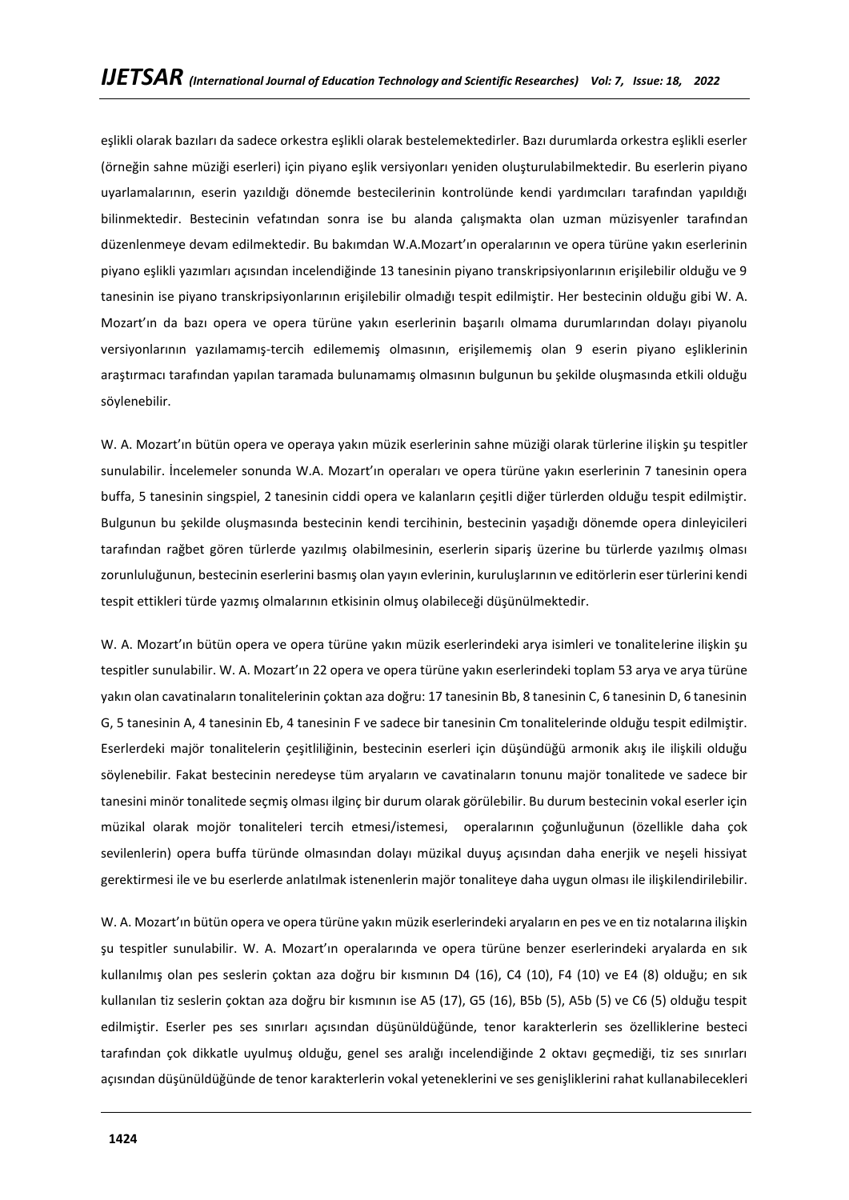eşlikli olarak bazıları da sadece orkestra eşlikli olarak bestelemektedirler. Bazı durumlarda orkestra eşlikli eserler (örneğin sahne müziği eserleri) için piyano eşlik versiyonları yeniden oluşturulabilmektedir. Bu eserlerin piyano uyarlamalarının, eserin yazıldığı dönemde bestecilerinin kontrolünde kendi yardımcıları tarafından yapıldığı bilinmektedir. Bestecinin vefatından sonra ise bu alanda çalışmakta olan uzman müzisyenler tarafından düzenlenmeye devam edilmektedir. Bu bakımdan W.A.Mozart'ın operalarının ve opera türüne yakın eserlerinin piyano eşlikli yazımları açısından incelendiğinde 13 tanesinin piyano transkripsiyonlarının erişilebilir olduğu ve 9 tanesinin ise piyano transkripsiyonlarının erişilebilir olmadığı tespit edilmiştir. Her bestecinin olduğu gibi W. A. Mozart'ın da bazı opera ve opera türüne yakın eserlerinin başarılı olmama durumlarından dolayı piyanolu versiyonlarının yazılamamış-tercih edilememiş olmasının, erişilememiş olan 9 eserin piyano eşliklerinin araştırmacı tarafından yapılan taramada bulunamamış olmasının bulgunun bu şekilde oluşmasında etkili olduğu söylenebilir.

W. A. Mozart'ın bütün opera ve operaya yakın müzik eserlerinin sahne müziği olarak türlerine ilişkin şu tespitler sunulabilir. İncelemeler sonunda W.A. Mozart'ın operaları ve opera türüne yakın eserlerinin 7 tanesinin opera buffa, 5 tanesinin singspiel, 2 tanesinin ciddi opera ve kalanların çeşitli diğer türlerden olduğu tespit edilmiştir. Bulgunun bu şekilde oluşmasında bestecinin kendi tercihinin, bestecinin yaşadığı dönemde opera dinleyicileri tarafından rağbet gören türlerde yazılmış olabilmesinin, eserlerin sipariş üzerine bu türlerde yazılmış olması zorunluluğunun, bestecinin eserlerini basmış olan yayın evlerinin, kuruluşlarının ve editörlerin eser türlerini kendi tespit ettikleri türde yazmış olmalarının etkisinin olmuş olabileceği düşünülmektedir.

W. A. Mozart'ın bütün opera ve opera türüne yakın müzik eserlerindeki arya isimleri ve tonalitelerine ilişkin şu tespitler sunulabilir. W. A. Mozart'ın 22 opera ve opera türüne yakın eserlerindeki toplam 53 arya ve arya türüne yakın olan cavatinaların tonalitelerinin çoktan aza doğru: 17 tanesinin Bb, 8 tanesinin C, 6 tanesinin D, 6 tanesinin G, 5 tanesinin A, 4 tanesinin Eb, 4 tanesinin F ve sadece bir tanesinin Cm tonalitelerinde olduğu tespit edilmiştir. Eserlerdeki majör tonalitelerin çeşitliliğinin, bestecinin eserleri için düşündüğü armonik akış ile ilişkili olduğu söylenebilir. Fakat bestecinin neredeyse tüm aryaların ve cavatinaların tonunu majör tonalitede ve sadece bir tanesini minör tonalitede seçmiş olması ilginç bir durum olarak görülebilir. Bu durum bestecinin vokal eserler için müzikal olarak mojör tonaliteleri tercih etmesi/istemesi, operalarının çoğunluğunun (özellikle daha çok sevilenlerin) opera buffa türünde olmasından dolayı müzikal duyuş açısından daha enerjik ve neşeli hissiyat gerektirmesi ile ve bu eserlerde anlatılmak istenenlerin majör tonaliteye daha uygun olması ile ilişkilendirilebilir.

W. A. Mozart'ın bütün opera ve opera türüne yakın müzik eserlerindeki aryaların en pes ve en tiz notalarına ilişkin şu tespitler sunulabilir. W. A. Mozart'ın operalarında ve opera türüne benzer eserlerindeki aryalarda en sık kullanılmış olan pes seslerin çoktan aza doğru bir kısmının D4 (16), C4 (10), F4 (10) ve E4 (8) olduğu; en sık kullanılan tiz seslerin çoktan aza doğru bir kısmının ise A5 (17), G5 (16), B5b (5), A5b (5) ve C6 (5) olduğu tespit edilmiştir. Eserler pes ses sınırları açısından düşünüldüğünde, tenor karakterlerin ses özelliklerine besteci tarafından çok dikkatle uyulmuş olduğu, genel ses aralığı incelendiğinde 2 oktavı geçmediği, tiz ses sınırları açısından düşünüldüğünde de tenor karakterlerin vokal yeteneklerini ve ses genişliklerini rahat kullanabilecekleri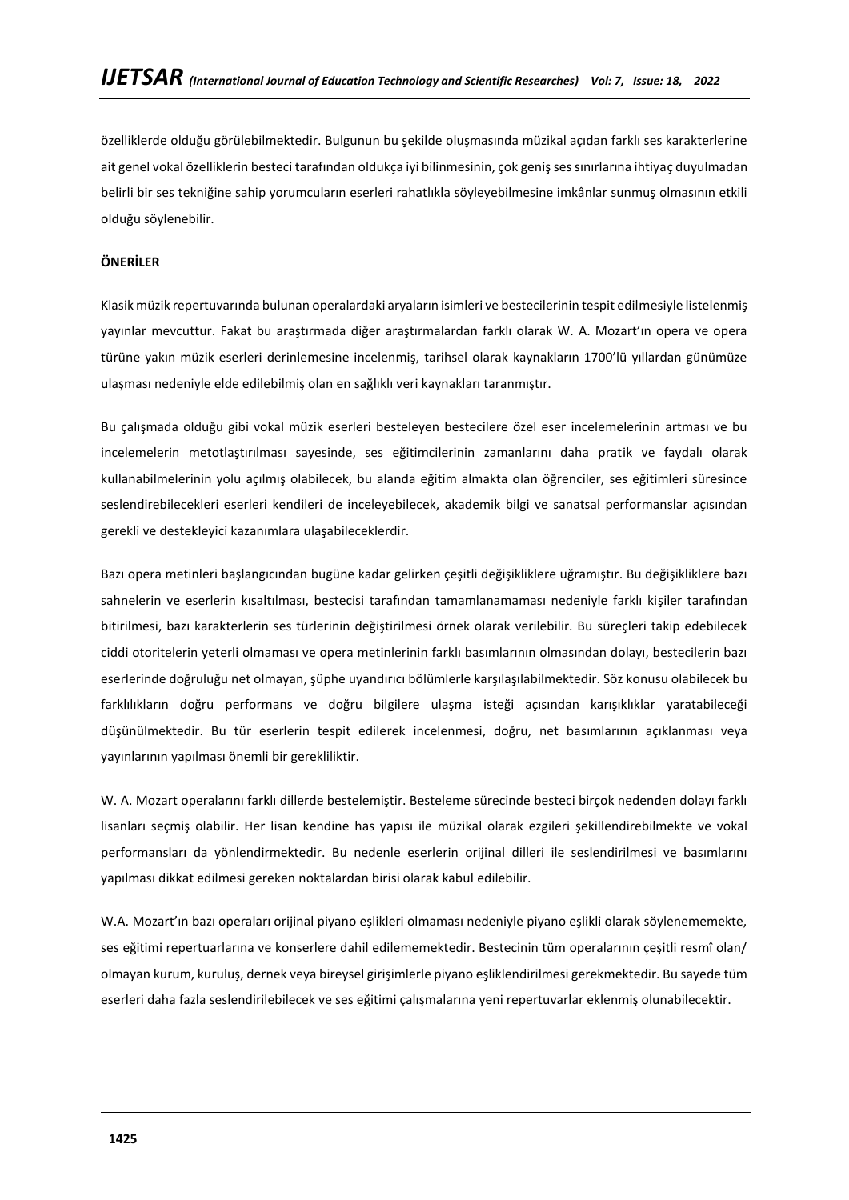özelliklerde olduğu görülebilmektedir. Bulgunun bu şekilde oluşmasında müzikal açıdan farklı ses karakterlerine ait genel vokal özelliklerin besteci tarafından oldukça iyi bilinmesinin, çok geniş ses sınırlarına ihtiyaç duyulmadan belirli bir ses tekniğine sahip yorumcuların eserleri rahatlıkla söyleyebilmesine imkânlar sunmuş olmasının etkili olduğu söylenebilir.

# **ÖNERİLER**

Klasik müzik repertuvarında bulunan operalardaki aryaların isimleri ve bestecilerinin tespit edilmesiyle listelenmiş yayınlar mevcuttur. Fakat bu araştırmada diğer araştırmalardan farklı olarak W. A. Mozart'ın opera ve opera türüne yakın müzik eserleri derinlemesine incelenmiş, tarihsel olarak kaynakların 1700'lü yıllardan günümüze ulaşması nedeniyle elde edilebilmiş olan en sağlıklı veri kaynakları taranmıştır.

Bu çalışmada olduğu gibi vokal müzik eserleri besteleyen bestecilere özel eser incelemelerinin artması ve bu incelemelerin metotlaştırılması sayesinde, ses eğitimcilerinin zamanlarını daha pratik ve faydalı olarak kullanabilmelerinin yolu açılmış olabilecek, bu alanda eğitim almakta olan öğrenciler, ses eğitimleri süresince seslendirebilecekleri eserleri kendileri de inceleyebilecek, akademik bilgi ve sanatsal performanslar açısından gerekli ve destekleyici kazanımlara ulaşabileceklerdir.

Bazı opera metinleri başlangıcından bugüne kadar gelirken çeşitli değişikliklere uğramıştır. Bu değişikliklere bazı sahnelerin ve eserlerin kısaltılması, bestecisi tarafından tamamlanamaması nedeniyle farklı kişiler tarafından bitirilmesi, bazı karakterlerin ses türlerinin değiştirilmesi örnek olarak verilebilir. Bu süreçleri takip edebilecek ciddi otoritelerin yeterli olmaması ve opera metinlerinin farklı basımlarının olmasından dolayı, bestecilerin bazı eserlerinde doğruluğu net olmayan, şüphe uyandırıcı bölümlerle karşılaşılabilmektedir. Söz konusu olabilecek bu farklılıkların doğru performans ve doğru bilgilere ulaşma isteği açısından karışıklıklar yaratabileceği düşünülmektedir. Bu tür eserlerin tespit edilerek incelenmesi, doğru, net basımlarının açıklanması veya yayınlarının yapılması önemli bir gerekliliktir.

W. A. Mozart operalarını farklı dillerde bestelemiştir. Besteleme sürecinde besteci birçok nedenden dolayı farklı lisanları seçmiş olabilir. Her lisan kendine has yapısı ile müzikal olarak ezgileri şekillendirebilmekte ve vokal performansları da yönlendirmektedir. Bu nedenle eserlerin orijinal dilleri ile seslendirilmesi ve basımlarını yapılması dikkat edilmesi gereken noktalardan birisi olarak kabul edilebilir.

W.A. Mozart'ın bazı operaları orijinal piyano eşlikleri olmaması nedeniyle piyano eşlikli olarak söylenememekte, ses eğitimi repertuarlarına ve konserlere dahil edilememektedir. Bestecinin tüm operalarının çeşitli resmî olan/ olmayan kurum, kuruluş, dernek veya bireysel girişimlerle piyano eşliklendirilmesi gerekmektedir. Bu sayede tüm eserleri daha fazla seslendirilebilecek ve ses eğitimi çalışmalarına yeni repertuvarlar eklenmiş olunabilecektir.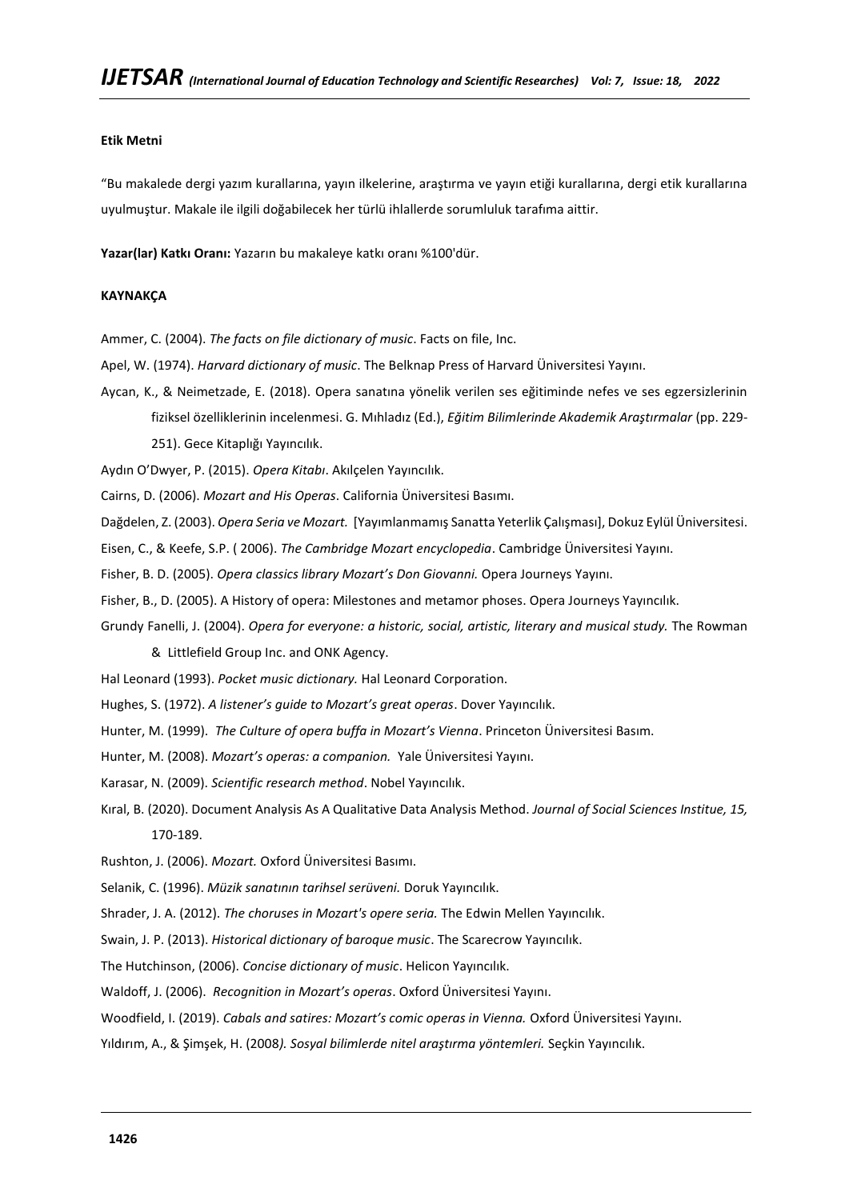# **Etik Metni**

"Bu makalede dergi yazım kurallarına, yayın ilkelerine, araştırma ve yayın etiği kurallarına, dergi etik kurallarına uyulmuştur. Makale ile ilgili doğabilecek her türlü ihlallerde sorumluluk tarafıma aittir.

**Yazar(lar) Katkı Oranı:** Yazarın bu makaleye katkı oranı %100'dür.

### **KAYNAKÇA**

Ammer, C. (2004). *The facts on file dictionary of music*. Facts on file, Inc.

- Apel, W. (1974). *Harvard dictionary of music*. The Belknap Press of Harvard Üniversitesi Yayını.
- Aycan, K., & Neimetzade, E. (2018). Opera sanatına yönelik verilen ses eğitiminde nefes ve ses egzersizlerinin fiziksel özelliklerinin incelenmesi. G. Mıhladız (Ed.), *Eğitim Bilimlerinde Akademik Araştırmalar* (pp. 229- 251). Gece Kitaplığı Yayıncılık.

Aydın O'Dwyer, P. (2015). *Opera Kitabı*. Akılçelen Yayıncılık.

Cairns, D. (2006). *Mozart and His Operas*. California Üniversitesi Basımı.

Dağdelen, Z. (2003). *Opera Seria ve Mozart.* [Yayımlanmamış Sanatta Yeterlik Çalışması], Dokuz Eylül Üniversitesi.

Eisen, C., & Keefe, S.P. ( 2006). *The Cambridge Mozart encyclopedia*. Cambridge Üniversitesi Yayını.

Fisher, B. D. (2005). *Opera classics library Mozart's Don Giovanni.* Opera Journeys Yayını.

Fisher, B., D. (2005). A History of opera: Milestones and metamor phoses. Opera Journeys Yayıncılık.

Grundy Fanelli, J. (2004). *Opera for everyone: a historic, social, artistic, literary and musical study.* The Rowman

& Littlefield Group Inc. and ONK Agency.

Hal Leonard (1993). *Pocket music dictionary.* Hal Leonard Corporation.

- Hughes, S. (1972). *A listener's guide to Mozart's great operas*. Dover Yayıncılık.
- Hunter, M. (1999). *The Culture of opera buffa in Mozart's Vienna*. Princeton Üniversitesi Basım.

Hunter, M. (2008). *Mozart's operas: a companion.* Yale Üniversitesi Yayını.

- Karasar, N. (2009). *Scientific research method*. Nobel Yayıncılık.
- Kıral, B. (2020). Document Analysis As A Qualitative Data Analysis Method. *Journal of Social Sciences Institue, 15,*  170-189.

Rushton, J. (2006). *Mozart.* Oxford Üniversitesi Basımı.

Selanik, C. (1996). *Müzik sanatının tarihsel serüveni.* Doruk Yayıncılık.

Shrader, J. A. (2012). *The choruses in Mozart's opere seria.* The Edwin Mellen Yayıncılık.

Swain, J. P. (2013). *Historical dictionary of baroque music*. The Scarecrow Yayıncılık.

The Hutchinson, (2006). *Concise dictionary of music*. Helicon Yayıncılık.

Waldoff, J. (2006). *Recognition in Mozart's operas*. Oxford Üniversitesi Yayını.

Woodfield, I. (2019). *Cabals and satires: Mozart's comic operas in Vienna.* Oxford Üniversitesi Yayını.

Yıldırım, A., & Şimşek, H. (2008*). Sosyal bilimlerde nitel araştırma yöntemleri.* Seçkin Yayıncılık.